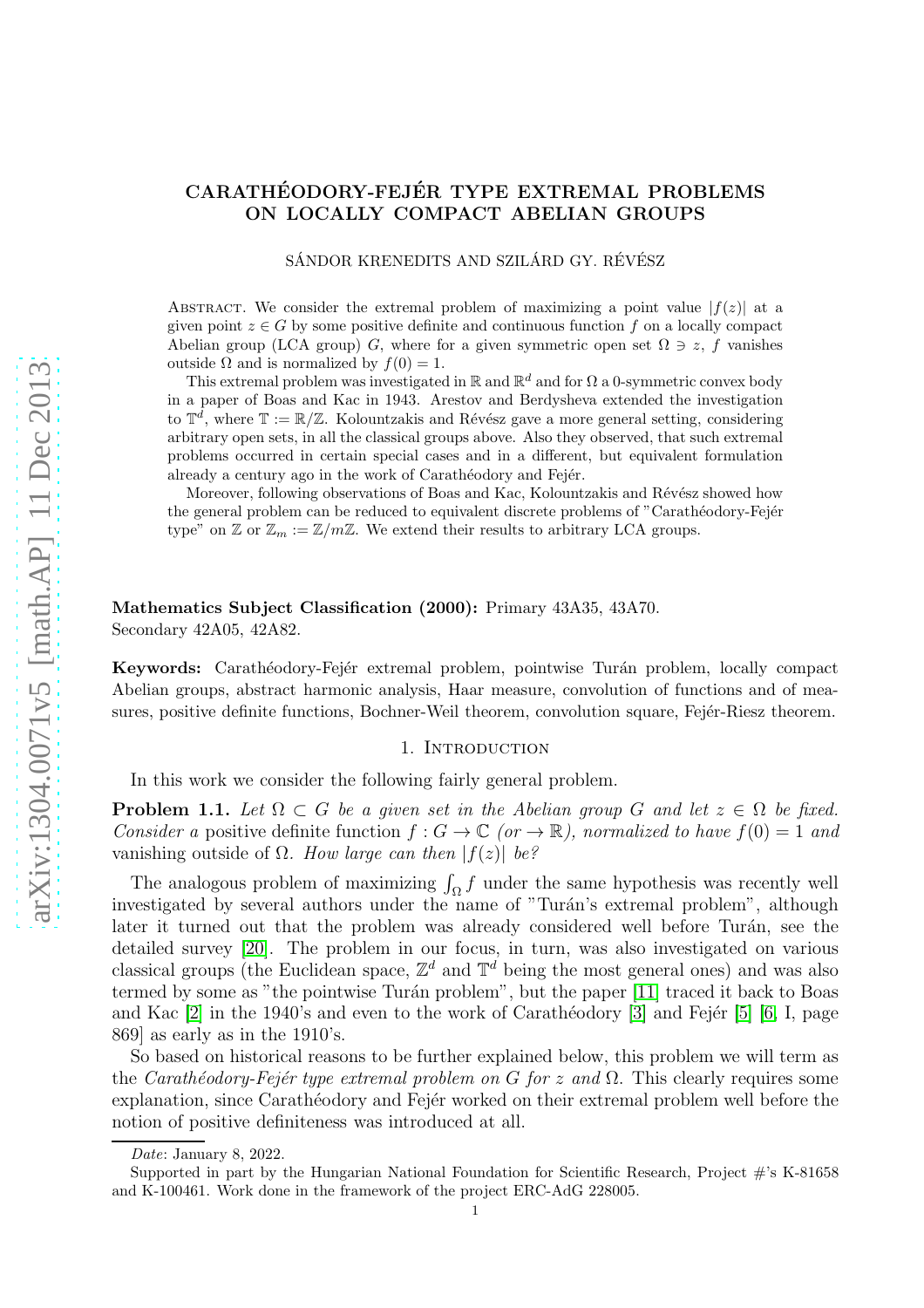# CARATHÉODORY-FEJÉR TYPE EXTREMAL PROBLEMS ON LOCALLY COMPACT ABELIAN GROUPS

SÁNDOR KRENEDITS AND SZILÁRD GY. RÉVÉSZ

ABSTRACT. We consider the extremal problem of maximizing a point value  $|f(z)|$  at a given point  $z \in G$  by some positive definite and continuous function f on a locally compact Abelian group (LCA group) G, where for a given symmetric open set  $\Omega \ni z$ , f vanishes outside Ω and is normalized by  $f(0) = 1$ .

This extremal problem was investigated in  $\mathbb R$  and  $\mathbb R^d$  and for  $\Omega$  a 0-symmetric convex body in a paper of Boas and Kac in 1943. Arestov and Berdysheva extended the investigation to  $\mathbb{T}^d$ , where  $\mathbb{T} := \mathbb{R}/\mathbb{Z}$ . Kolountzakis and Révész gave a more general setting, considering arbitrary open sets, in all the classical groups above. Also they observed, that such extremal problems occurred in certain special cases and in a different, but equivalent formulation already a century ago in the work of Carathéodory and Fejér.

Moreover, following observations of Boas and Kac, Kolountzakis and Révész showed how the general problem can be reduced to equivalent discrete problems of "Carathéodory-Fejér" type" on  $\mathbb Z$  or  $\mathbb Z_m:=\mathbb Z/m\mathbb Z$ . We extend their results to arbitrary LCA groups.

### Mathematics Subject Classification (2000): Primary 43A35, 43A70. Secondary 42A05, 42A82.

<span id="page-0-1"></span>Keywords: Carathéodory-Fejér extremal problem, pointwise Turán problem, locally compact Abelian groups, abstract harmonic analysis, Haar measure, convolution of functions and of measures, positive definite functions, Bochner-Weil theorem, convolution square, Fejér-Riesz theorem.

### 1. INTRODUCTION

In this work we consider the following fairly general problem.

<span id="page-0-0"></span>**Problem 1.1.** Let  $\Omega \subset G$  be a given set in the Abelian group G and let  $z \in \Omega$  be fixed. *Consider a* positive definite function  $f: G \to \mathbb{C}$  (or  $\to \mathbb{R}$ ), normalized to have  $f(0) = 1$  and vanishing outside of  $Ω$ *. How large can then*  $|f(z)|$  *be?* 

The analogous problem of maximizing  $\int_{\Omega} f$  under the same hypothesis was recently well investigated by several authors under the name of "Turán's extremal problem", although later it turned out that the problem was already considered well before Turán, see the detailed survey [\[20\]](#page-16-0). The problem in our focus, in turn, was also investigated on various classical groups (the Euclidean space,  $\mathbb{Z}^d$  and  $\mathbb{T}^d$  being the most general ones) and was also termed by some as "the pointwise Turán problem", but the paper [\[11\]](#page-16-1) traced it back to Boas and Kac  $[2]$  in the 1940's and even to the work of Carathéodory  $[3]$  and Fejér  $[5]$  [\[6,](#page-16-5) I, page 869] as early as in the 1910's.

So based on historical reasons to be further explained below, this problem we will term as the *Carathéodory-Fejér type extremal problem on* G *for* z and  $\Omega$ . This clearly requires some explanation, since Carathéodory and Fejér worked on their extremal problem well before the notion of positive definiteness was introduced at all.

Date: January 8, 2022.

Supported in part by the Hungarian National Foundation for Scientific Research, Project #'s K-81658 and K-100461. Work done in the framework of the project ERC-AdG 228005.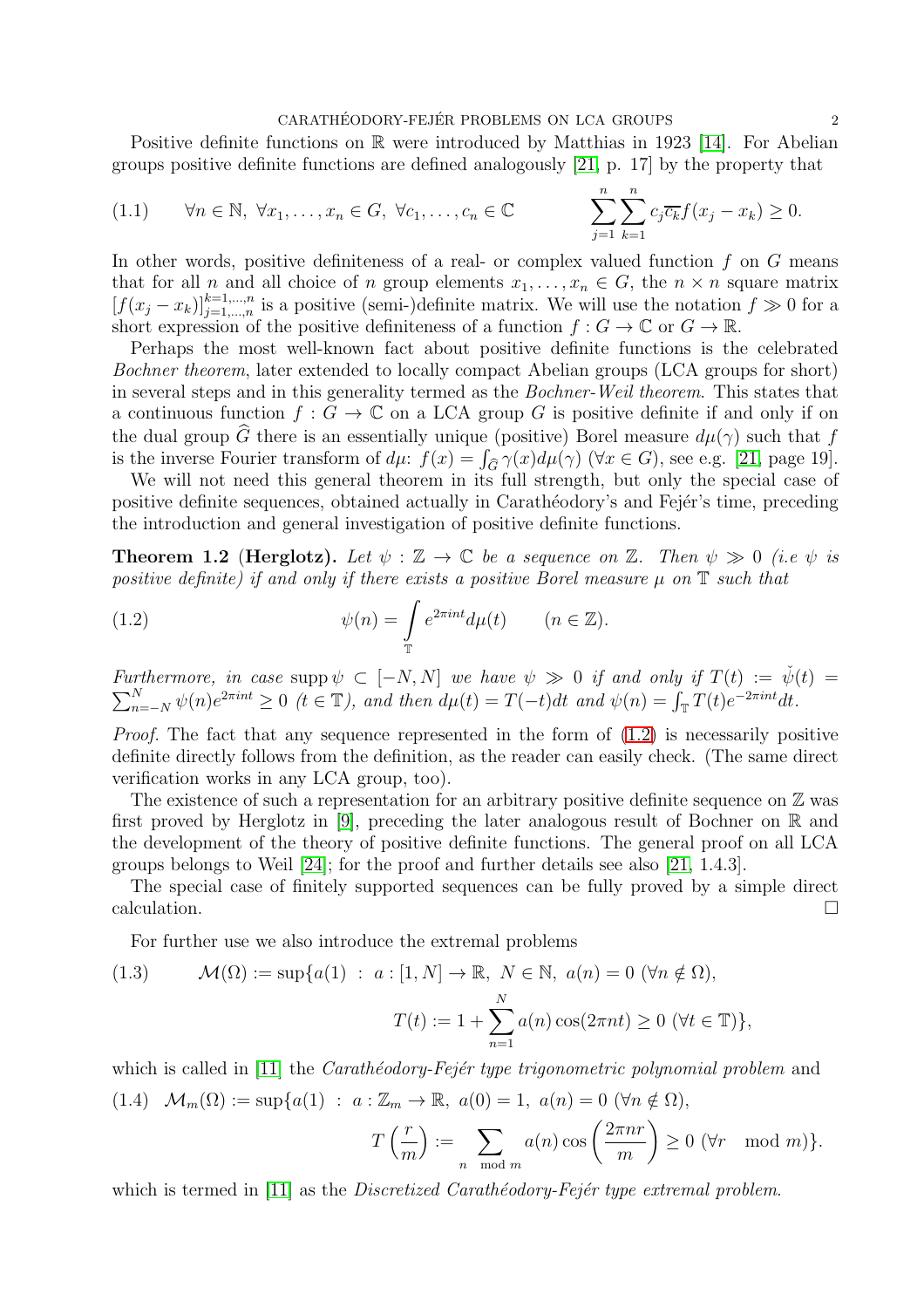#### $\begin{array}{lcl} \text{CARATHÉODORY-FEJÉR PROBLEMS ON LCA GROUPS} \end{array} \tag{2} \end{array}$

Positive definite functions on  $\mathbb R$  were introduced by Matthias in 1923 [\[14\]](#page-16-6). For Abelian groups positive definite functions are defined analogously [\[21,](#page-16-7) p. 17] by the property that

<span id="page-1-2"></span>(1.1) 
$$
\forall n \in \mathbb{N}, \forall x_1, \dots, x_n \in G, \forall c_1, \dots, c_n \in \mathbb{C}
$$
 
$$
\sum_{j=1}^n \sum_{k=1}^n c_j \overline{c_k} f(x_j - x_k) \ge 0.
$$

In other words, positive definiteness of a real- or complex valued function  $f$  on  $G$  means that for all n and all choice of n group elements  $x_1, \ldots, x_n \in G$ , the  $n \times n$  square matrix  $[f(x_j - x_k)]_{j=1,\dots,n}^{k=1,\dots,n}$  is a positive (semi-)definite matrix. We will use the notation  $f \gg 0$  for a short expression of the positive definiteness of a function  $f: G \to \mathbb{C}$  or  $G \to \mathbb{R}$ .

Perhaps the most well-known fact about positive definite functions is the celebrated *Bochner theorem*, later extended to locally compact Abelian groups (LCA groups for short) in several steps and in this generality termed as the *Bochner-Weil theorem*. This states that a continuous function  $f: G \to \mathbb{C}$  on a LCA group G is positive definite if and only if on the dual group  $\widehat{G}$  there is an essentially unique (positive) Borel measure  $d\mu(\gamma)$  such that f is the inverse Fourier transform of  $d\mu$ :  $f(x) = \int_{\widehat{G}} \gamma(x) d\mu(\gamma)$  ( $\forall x \in G$ ), see e.g. [\[21,](#page-16-7) page 19].

We will not need this general theorem in its full strength, but only the special case of positive definite sequences, obtained actually in Carathéodory's and Fejér's time, preceding the introduction and general investigation of positive definite functions.

<span id="page-1-1"></span>**Theorem 1.2 (Herglotz).** Let  $\psi : \mathbb{Z} \to \mathbb{C}$  be a sequence on  $\mathbb{Z}$ . Then  $\psi \gg 0$  (i.e  $\psi$  is *positive definite) if and only if there exists a positive Borel measure*  $\mu$  on  $\mathbb T$  *such that* 

<span id="page-1-0"></span>(1.2) 
$$
\psi(n) = \int_{\mathbb{T}} e^{2\pi int} d\mu(t) \qquad (n \in \mathbb{Z}).
$$

*Furthermore, in case* supp  $\psi \subset [-N, N]$  *we have*  $\psi \gg 0$  *if and only if*  $T(t) := \check{\psi}$  $\sum$  $(t) =$  $N_{n=-N} \psi(n) e^{2\pi int} \geq 0$  ( $t \in \mathbb{T}$ ), and then  $d\mu(t) = T(-t)dt$  and  $\psi(n) = \int_{\mathbb{T}} T(t) e^{-2\pi int} dt$ .

*Proof.* The fact that any sequence represented in the form of  $(1.2)$  is necessarily positive definite directly follows from the definition, as the reader can easily check. (The same direct verification works in any LCA group, too).

The existence of such a representation for an arbitrary positive definite sequence on  $\mathbb Z$  was first proved by Herglotz in [\[9\]](#page-16-8), preceding the later analogous result of Bochner on R and the development of the theory of positive definite functions. The general proof on all LCA groups belongs to Weil [\[24\]](#page-16-9); for the proof and further details see also [\[21,](#page-16-7) 1.4.3].

The special case of finitely supported sequences can be fully proved by a simple direct  $\Box$ calculation.

For further use we also introduce the extremal problems

<span id="page-1-3"></span>(1.3) 
$$
\mathcal{M}(\Omega) := \sup \{a(1) : a : [1, N] \to \mathbb{R}, N \in \mathbb{N}, a(n) = 0 \ (\forall n \notin \Omega),
$$

$$
T(t) := 1 + \sum_{n=1}^{N} a(n) \cos(2\pi nt) \ge 0 \ (\forall t \in \mathbb{T}) \},
$$

<span id="page-1-4"></span>which is called in [\[11\]](#page-16-1) the *Carath*éodory-Fejér type trigonometric polynomial problem and (1.4)  $\mathcal{M}_m(\Omega) := \sup\{a(1) : a : \mathbb{Z}_m \to \mathbb{R}, a(0) = 1, a(n) = 0 \ (\forall n \notin \Omega),\}$  $2\pi nr$  $\setminus$ 

$$
T\left(\frac{r}{m}\right) := \sum_{n \mod m} a(n) \cos\left(\frac{2\pi nr}{m}\right) \ge 0 \; (\forall r \mod m)\}.
$$

which is termed in [\[11\]](#page-16-1) as the *Discretized Carath*éodory-Fejér type extremal problem.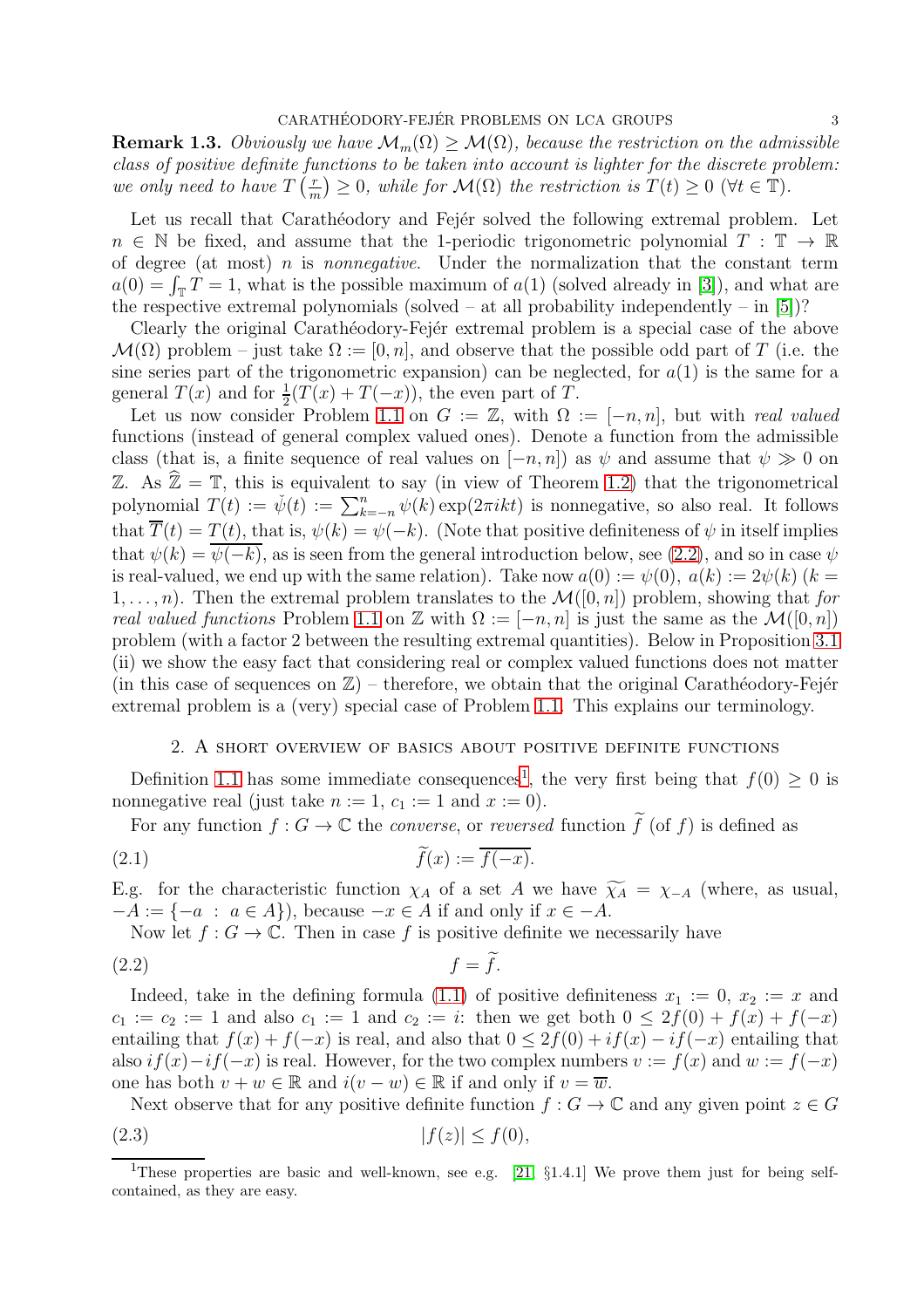<span id="page-2-4"></span>**Remark 1.3.** *Obviously we have*  $\mathcal{M}_m(\Omega) \geq \mathcal{M}(\Omega)$ *, because the restriction on the admissible class of positive definite functions to be taken into account is lighter for the discrete problem: we only need to have*  $T\left(\frac{r}{r}\right)$  $\binom{r}{m} \geq 0$ , while for  $\mathcal{M}(\Omega)$  the restriction is  $T(t) \geq 0 \ (\forall t \in \mathbb{T})$ .

Let us recall that Carathéodory and Fejér solved the following extremal problem. Let  $n \in \mathbb{N}$  be fixed, and assume that the 1-periodic trigonometric polynomial  $T : \mathbb{T} \to \mathbb{R}$ of degree (at most) n is *nonnegative*. Under the normalization that the constant term  $a(0) = \int_{\mathbb{T}} T = 1$ , what is the possible maximum of  $a(1)$  (solved already in [\[3\]](#page-16-3)), and what are the respective extremal polynomials (solved – at all probability independently – in [\[5\]](#page-16-4))?

Clearly the original Carathéodory-Fejér extremal problem is a special case of the above  $\mathcal{M}(\Omega)$  problem – just take  $\Omega := [0, n]$ , and observe that the possible odd part of T (i.e. the sine series part of the trigonometric expansion) can be neglected, for  $a(1)$  is the same for a general  $T(x)$  and for  $\frac{1}{2}(T(x) + T(-x))$ , the even part of T.

Let us now consider Problem [1.1](#page-0-0) on  $G := \mathbb{Z}$ , with  $\Omega := [-n, n]$ , but with *real valued* functions (instead of general complex valued ones). Denote a function from the admissible class (that is, a finite sequence of real values on  $[-n, n]$ ) as  $\psi$  and assume that  $\psi \gg 0$  on Z. As  $\mathbb{Z} = \mathbb{T}$ , this is equivalent to say (in view of Theorem [1.2\)](#page-1-1) that the trigonometrical polynomial  $T(t) := \psi(t) := \sum_{k=-n}^{n} \psi(k) \exp(2\pi i k t)$  is nonnegative, so also real. It follows that  $\overline{T}(t) = T(t)$ , that is,  $\psi(k) = \psi(-k)$ . (Note that positive definiteness of  $\psi$  in itself implies that  $\psi(k) = \psi(-k)$ , as is seen from the general introduction below, see [\(2.2\)](#page-2-0), and so in case  $\psi$ is real-valued, we end up with the same relation). Take now  $a(0) := \psi(0), a(k) := 2\psi(k)$  ( $k =$  $1, \ldots, n$ ). Then the extremal problem translates to the  $\mathcal{M}([0, n])$  problem, showing that *for real valued functions* Problem [1.1](#page-0-0) on Z with  $\Omega := [-n, n]$  is just the same as the  $\mathcal{M}([0, n])$ problem (with a factor 2 between the resulting extremal quantities). Below in Proposition [3.1](#page-7-0) (ii) we show the easy fact that considering real or complex valued functions does not matter (in this case of sequences on  $\mathbb{Z}$ ) – therefore, we obtain that the original Carathéodory-Fejér extremal problem is a (very) special case of Problem [1.1.](#page-0-0) This explains our terminology.

### <span id="page-2-3"></span>2. A short overview of basics about positive definite functions

Definition [1.1](#page-1-2) has some immediate consequences<sup>[1](#page-2-1)</sup>, the very first being that  $f(0) \geq 0$  is nonnegative real (just take  $n := 1$ ,  $c_1 := 1$  and  $x := 0$ ).

For any function  $f: G \to \mathbb{C}$  the *converse*, or *reversed* function  $\widetilde{f}$  (of f) is defined as

$$
\widetilde{f}(x) := \overline{f(-x)}.
$$

E.g. for the characteristic function  $\chi_A$  of a set A we have  $\widetilde{\chi_A} = \chi_{-A}$  (where, as usual,  $-A := \{-a : a \in A\}$ , because  $-x \in A$  if and only if  $x \in -A$ .

<span id="page-2-0"></span>Now let  $f: G \to \mathbb{C}$ . Then in case f is positive definite we necessarily have

$$
(2.2) \t\t f = f.
$$

Indeed, take in the defining formula [\(1.1\)](#page-1-2) of positive definiteness  $x_1 := 0, x_2 := x$  and  $c_1 := c_2 := 1$  and also  $c_1 := 1$  and  $c_2 := i$ : then we get both  $0 \leq 2f(0) + f(x) + f(-x)$ entailing that  $f(x) + f(-x)$  is real, and also that  $0 \leq 2f(0) + if(x) - if(-x)$  entailing that also  $if(x)-if(-x)$  is real. However, for the two complex numbers  $v := f(x)$  and  $w := f(-x)$ one has both  $v + w \in \mathbb{R}$  and  $i(v - w) \in \mathbb{R}$  if and only if  $v = \overline{w}$ .

<span id="page-2-2"></span>Next observe that for any positive definite function  $f: G \to \mathbb{C}$  and any given point  $z \in G$ (2.3)  $|f(z)| < f(0)$ ,

<span id="page-2-1"></span><sup>&</sup>lt;sup>1</sup>These properties are basic and well-known, see e.g. [\[21,](#page-16-7)  $\S1.4.1$ ] We prove them just for being selfcontained, as they are easy.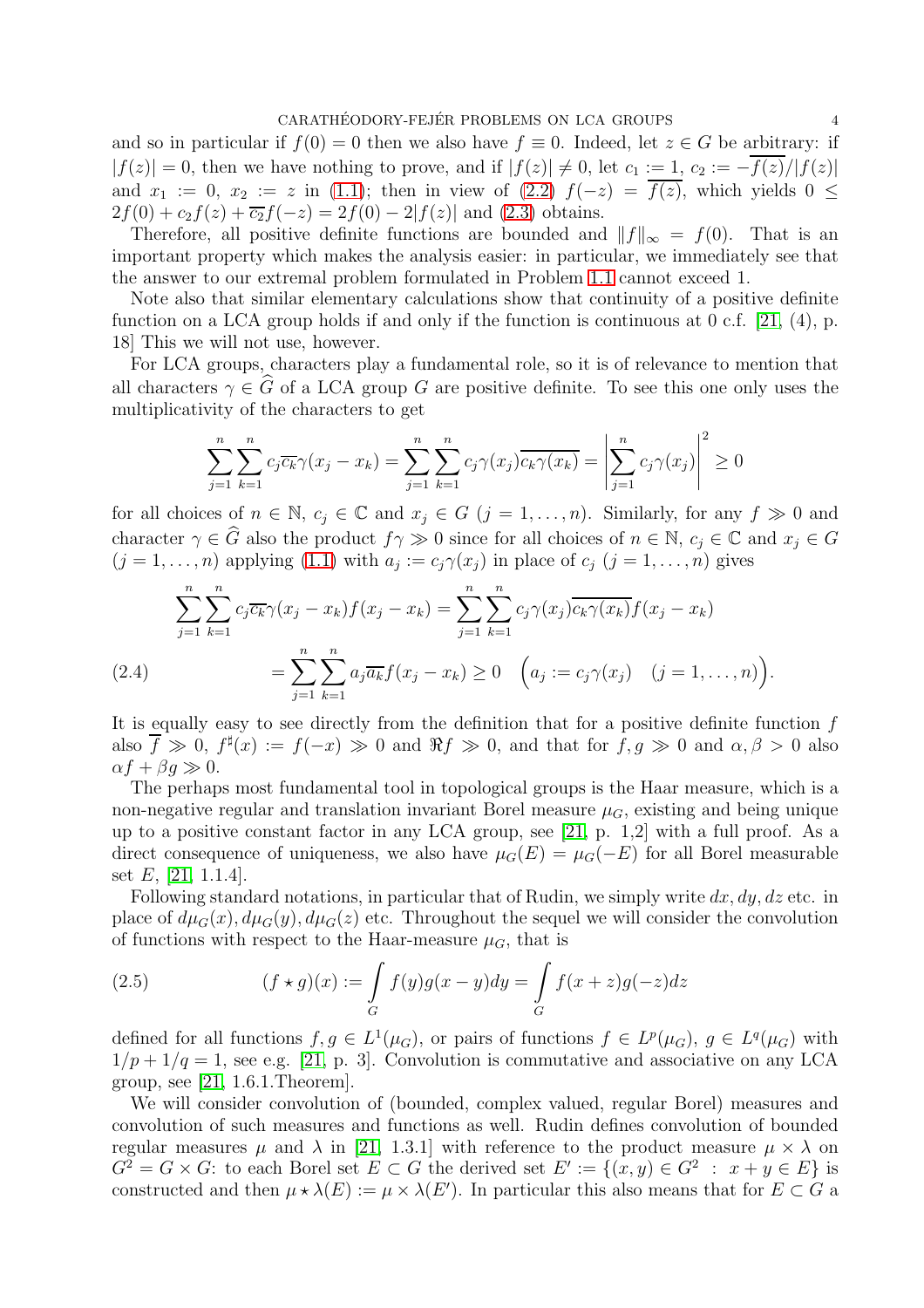and so in particular if  $f(0) = 0$  then we also have  $f \equiv 0$ . Indeed, let  $z \in G$  be arbitrary: if  $|f(z)| = 0$ , then we have nothing to prove, and if  $|f(z)| \neq 0$ , let  $c_1 := 1$ ,  $c_2 := -\overline{f(z)}/|f(z)|$ and  $x_1 := 0$ ,  $x_2 := z$  in [\(1.1\)](#page-1-2); then in view of [\(2.2\)](#page-2-0)  $f(-z) = f(z)$ , which yields  $0 \leq z$  $2f(0) + c_2f(z) + \overline{c_2}f(-z) = 2f(0) - 2|f(z)|$  and [\(2.3\)](#page-2-2) obtains.

Therefore, all positive definite functions are bounded and  $||f||_{\infty} = f(0)$ . That is an important property which makes the analysis easier: in particular, we immediately see that the answer to our extremal problem formulated in Problem [1.1](#page-0-0) cannot exceed 1.

Note also that similar elementary calculations show that continuity of a positive definite function on a LCA group holds if and only if the function is continuous at 0 c.f. [\[21,](#page-16-7)  $(4)$ , p. 18] This we will not use, however.

For LCA groups, characters play a fundamental role, so it is of relevance to mention that all characters  $\gamma \in \widehat{G}$  of a LCA group G are positive definite. To see this one only uses the multiplicativity of the characters to get

$$
\sum_{j=1}^{n} \sum_{k=1}^{n} c_j \overline{c_k} \gamma(x_j - x_k) = \sum_{j=1}^{n} \sum_{k=1}^{n} c_j \gamma(x_j) \overline{c_k} \gamma(x_k) = \left| \sum_{j=1}^{n} c_j \gamma(x_j) \right|^2 \ge 0
$$

for all choices of  $n \in \mathbb{N}$ ,  $c_j \in \mathbb{C}$  and  $x_j \in G$   $(j = 1, ..., n)$ . Similarly, for any  $f \gg 0$  and character  $\gamma \in \widehat{G}$  also the product  $f \gamma \gg 0$  since for all choices of  $n \in \mathbb{N}$ ,  $c_j \in \mathbb{C}$  and  $x_j \in G$  $(j = 1, \ldots, n)$  applying  $(1.1)$  with  $a_j := c_j \gamma(x_j)$  in place of  $c_j$   $(j = 1, \ldots, n)$  gives

$$
\sum_{j=1}^{n} \sum_{k=1}^{n} c_j \overline{c_k} \gamma(x_j - x_k) f(x_j - x_k) = \sum_{j=1}^{n} \sum_{k=1}^{n} c_j \gamma(x_j) \overline{c_k \gamma(x_k)} f(x_j - x_k)
$$
\n
$$
= \sum_{j=1}^{n} \sum_{k=1}^{n} a_j \overline{a_k} f(x_j - x_k) \ge 0 \quad \left( a_j := c_j \gamma(x_j) \quad (j = 1, \dots, n) \right).
$$

<span id="page-3-1"></span>It is equally easy to see directly from the definition that for a positive definite function f also  $\overline{f} \gg 0$ ,  $f^{\sharp}(x) := f(-x) \gg 0$  and  $\Re f \gg 0$ , and that for  $f, g \gg 0$  and  $\alpha, \beta > 0$  also  $\alpha f + \beta g \gg 0.$ 

The perhaps most fundamental tool in topological groups is the Haar measure, which is a non-negative regular and translation invariant Borel measure  $\mu_G$ , existing and being unique up to a positive constant factor in any LCA group, see [\[21,](#page-16-7) p. 1,2] with a full proof. As a direct consequence of uniqueness, we also have  $\mu_G(E) = \mu_G(-E)$  for all Borel measurable set  $E$ , [\[21,](#page-16-7) 1.1.4].

Following standard notations, in particular that of Rudin, we simply write  $dx, dy, dz$  etc. in place of  $d\mu_G(x)$ ,  $d\mu_G(y)$ ,  $d\mu_G(z)$  etc. Throughout the sequel we will consider the convolution of functions with respect to the Haar-measure  $\mu_G$ , that is

<span id="page-3-0"></span>(2.5) 
$$
(f \star g)(x) := \int_{G} f(y)g(x - y)dy = \int_{G} f(x + z)g(-z)dz
$$

defined for all functions  $f, g \in L^1(\mu_G)$ , or pairs of functions  $f \in L^p(\mu_G)$ ,  $g \in L^q(\mu_G)$  with  $1/p + 1/q = 1$ , see e.g. [\[21,](#page-16-7) p. 3]. Convolution is commutative and associative on any LCA group, see  $[21, 1.6.1$ . Theorem.

We will consider convolution of (bounded, complex valued, regular Borel) measures and convolution of such measures and functions as well. Rudin defines convolution of bounded regular measures  $\mu$  and  $\lambda$  in [\[21,](#page-16-7) 1.3.1] with reference to the product measure  $\mu \times \lambda$  on  $G^2 = G \times G$ : to each Borel set  $E \subset G$  the derived set  $E' := \{(x, y) \in G^2 : x + y \in E\}$  is constructed and then  $\mu \star \lambda(E) := \mu \times \lambda(E')$ . In particular this also means that for  $E \subset G$  a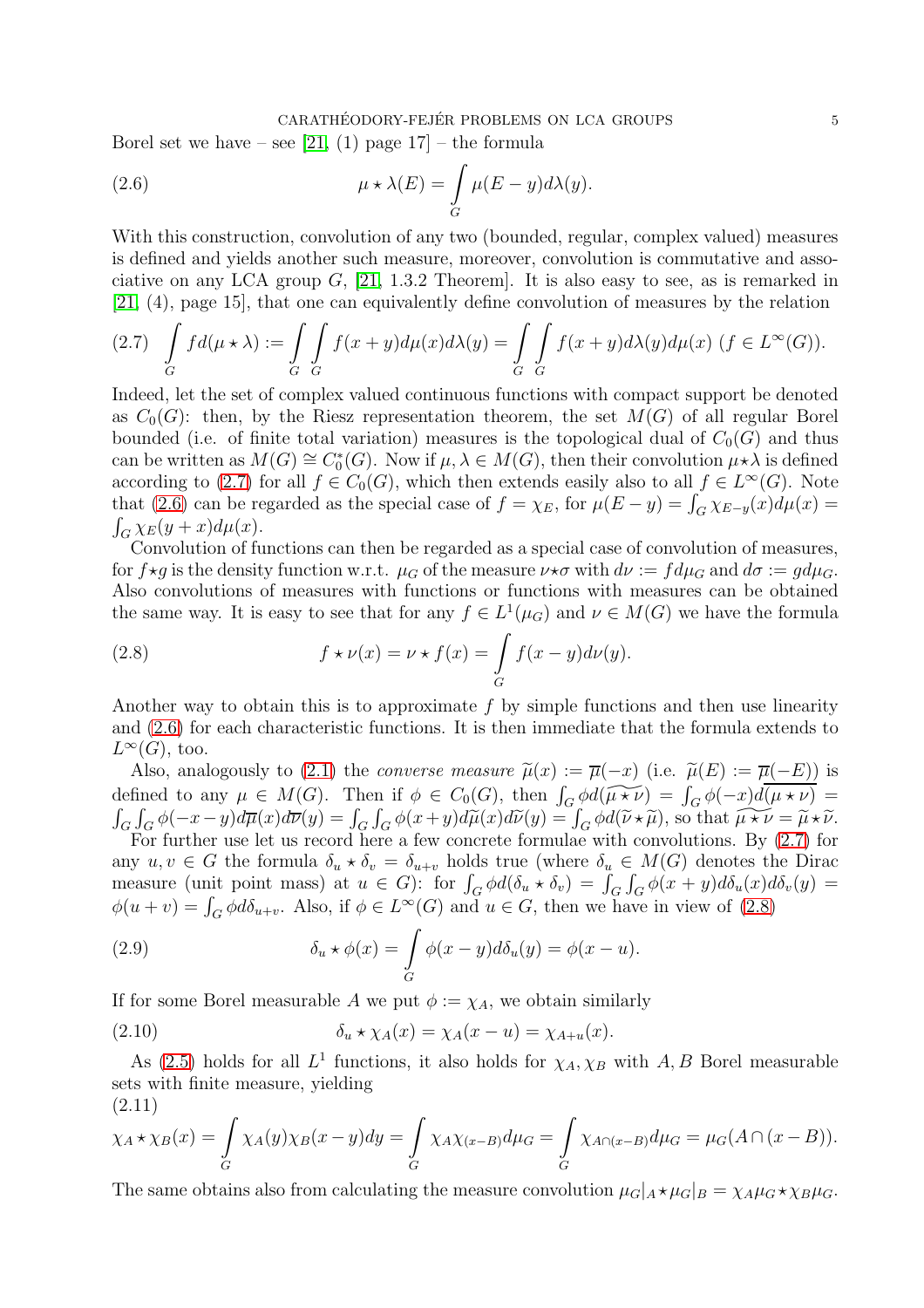### <span id="page-4-1"></span>CARATHÉODORY-FEJÉR PROBLEMS ON LCA GROUPS  $5$

Borel set we have – see [\[21,](#page-16-7) (1) page  $17$ ] – the formula

(2.6) 
$$
\mu \star \lambda(E) = \int\limits_G \mu(E - y) d\lambda(y).
$$

With this construction, convolution of any two (bounded, regular, complex valued) measures is defined and yields another such measure, moreover, convolution is commutative and associative on any LCA group  $G$ , [\[21,](#page-16-7) 1.3.2 Theorem]. It is also easy to see, as is remarked in [\[21,](#page-16-7) (4), page 15], that one can equivalently define convolution of measures by the relation

<span id="page-4-0"></span>
$$
(2.7) \quad \int\limits_G f d(\mu \star \lambda) := \int\limits_G \int\limits_G f(x+y) d\mu(x) d\lambda(y) = \int\limits_G \int\limits_G f(x+y) d\lambda(y) d\mu(x) \ (f \in L^{\infty}(G)).
$$

Indeed, let the set of complex valued continuous functions with compact support be denoted as  $C_0(G)$ : then, by the Riesz representation theorem, the set  $M(G)$  of all regular Borel bounded (i.e. of finite total variation) measures is the topological dual of  $C_0(G)$  and thus can be written as  $M(G) \cong C_0^*(G)$ . Now if  $\mu, \lambda \in M(G)$ , then their convolution  $\mu * \lambda$  is defined according to [\(2.7\)](#page-4-0) for all  $f \in C_0(G)$ , which then extends easily also to all  $f \in L^{\infty}(G)$ . Note that [\(2.6\)](#page-4-1) can be regarded as the special case of  $f = \chi_E$ , for  $\mu(E - y) = \int_G \chi_{E-y}(x) d\mu(x) =$  $\int_G \chi_E(y+x) d\mu(x)$ .

Convolution of functions can then be regarded as a special case of convolution of measures, for  $f \star q$  is the density function w.r.t.  $\mu_G$  of the measure  $\nu \star \sigma$  with  $d\nu := f d\mu_G$  and  $d\sigma := q d\mu_G$ . Also convolutions of measures with functions or functions with measures can be obtained the same way. It is easy to see that for any  $f \in L^1(\mu_G)$  and  $\nu \in M(G)$  we have the formula

<span id="page-4-2"></span>(2.8) 
$$
f \star \nu(x) = \nu \star f(x) = \int_G f(x - y) d\nu(y).
$$

Another way to obtain this is to approximate  $f$  by simple functions and then use linearity and [\(2.6\)](#page-4-1) for each characteristic functions. It is then immediate that the formula extends to  $L^{\infty}(G)$ , too.

Also, analogously to [\(2.1\)](#page-2-3) the *converse measure*  $\tilde{\mu}(x) := \overline{\mu}(-x)$  (i.e.  $\tilde{\mu}(E) := \overline{\mu}(-E)$ ) is defined to any  $\mu \in M(G)$ . Then if  $\phi \in C_0(G)$ , then  $\int_G \phi d(\widetilde{\mu \star \nu}) = \int_G \phi(-x) d(\overline{\mu \star \nu}) =$  $\int_G \int_G \phi(-x-y)d\overline{\mu}(x)d\overline{\nu}(y) = \int_G \int_G \phi(x+y)d\widetilde{\mu}(x)d\widetilde{\nu}(y) = \int_G \phi d(\widetilde{\nu} \star \widetilde{\mu})$ , so that  $\widetilde{\mu \star \nu} = \widetilde{\mu} \star \widetilde{\nu}$ .<br>For further use let us record here a few concrete formulae with convolutions. By [\(2.7\)](#page-4-0) for any  $u, v \in G$  the formula  $\delta_u * \delta_v = \delta_{u+v}$  holds true (where  $\delta_u \in M(G)$  denotes the Dirac

measure (unit point mass) at  $u \in G$ : for  $\int_G \phi d(\delta_u \star \delta_v) = \int_G \int_G \phi(x+y) d\delta_u(x) d\delta_v(y) =$  $\phi(u+v) = \int_G \phi d\delta_{u+v}$ . Also, if  $\phi \in L^{\infty}(G)$  and  $u \in G$ , then we have in view of [\(2.8\)](#page-4-2)

<span id="page-4-4"></span>(2.9) 
$$
\delta_u \star \phi(x) = \int_G \phi(x - y) d\delta_u(y) = \phi(x - u).
$$

If for some Borel measurable A we put  $\phi := \chi_A$ , we obtain similarly

(2.10) 
$$
\delta_u \star \chi_A(x) = \chi_A(x-u) = \chi_{A+u}(x).
$$

As [\(2.5\)](#page-3-0) holds for all  $L^1$  functions, it also holds for  $\chi_A, \chi_B$  with A, B Borel measurable sets with finite measure, yielding

$$
(2.11)
$$

<span id="page-4-3"></span>
$$
\chi_A \star \chi_B(x) = \int_G \chi_A(y) \chi_B(x-y) dy = \int_G \chi_A \chi_{(x-B)} d\mu_G = \int_G \chi_{A \cap (x-B)} d\mu_G = \mu_G(A \cap (x-B)).
$$

The same obtains also from calculating the measure convolution  $\mu_G|_A \star \mu_G|_B = \chi_A \mu_G \star \chi_B \mu_G$ .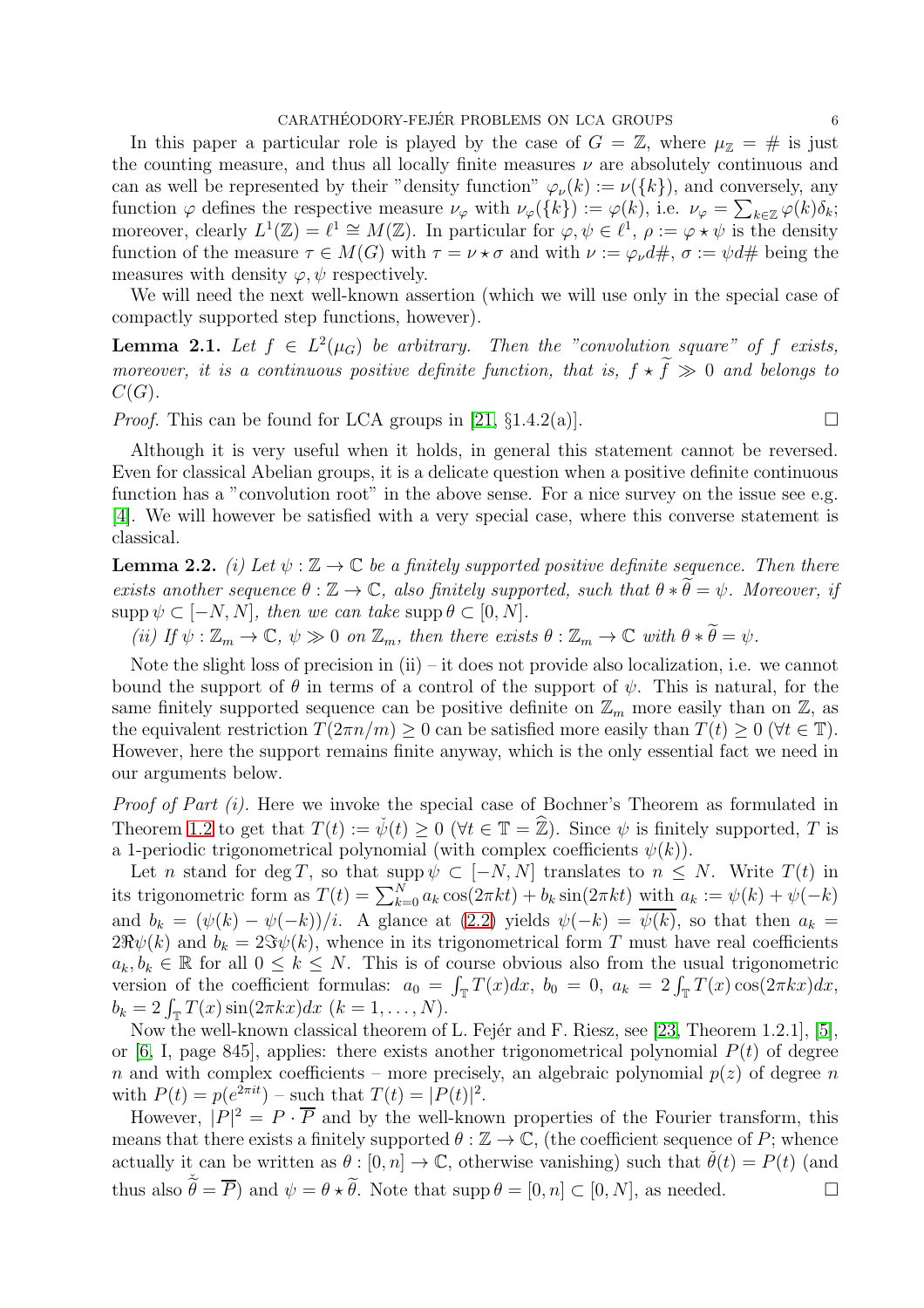In this paper a particular role is played by the case of  $G = \mathbb{Z}$ , where  $\mu_{\mathbb{Z}} = \#$  is just the counting measure, and thus all locally finite measures  $\nu$  are absolutely continuous and can as well be represented by their "density function"  $\varphi_{\nu}(k) := \nu({k})$ , and conversely, any function  $\varphi$  defines the respective measure  $\nu_{\varphi}$  with  $\nu_{\varphi}(\{k\}) := \varphi(k)$ , i.e.  $\nu_{\varphi} = \sum_{k \in \mathbb{Z}} \varphi(k) \delta_k$ ; moreover, clearly  $L^1(\mathbb{Z}) = \ell^1 \cong M(\mathbb{Z})$ . In particular for  $\varphi, \psi \in \ell^1$ ,  $\rho := \varphi \star \psi$  is the density function of the measure  $\tau \in M(G)$  with  $\tau = \nu \star \sigma$  and with  $\nu := \varphi_{\nu} d\#$ ,  $\sigma := \psi d\#$  being the measures with density  $\varphi, \psi$  respectively.

We will need the next well-known assertion (which we will use only in the special case of compactly supported step functions, however).

<span id="page-5-0"></span>**Lemma 2.1.** Let  $f \in L^2(\mu_G)$  be arbitrary. Then the "convolution square" of f exists, *moreover, it is a continuous positive definite function, that is,*  $f \star \tilde{f} \gg 0$  *and belongs to*  $C(G)$ .

*Proof.* This can be found for LCA groups in [\[21,](#page-16-7)  $\S 1.4.2(a)$ ].

Although it is very useful when it holds, in general this statement cannot be reversed. Even for classical Abelian groups, it is a delicate question when a positive definite continuous function has a "convolution root" in the above sense. For a nice survey on the issue see e.g. [\[4\]](#page-16-10). We will however be satisfied with a very special case, where this converse statement is classical.

<span id="page-5-1"></span>**Lemma 2.2.** *(i) Let*  $\psi : \mathbb{Z} \to \mathbb{C}$  *be a finitely supported positive definite sequence. Then there exists another sequence*  $\theta : \mathbb{Z} \to \mathbb{C}$ *, also finitely supported, such that*  $\theta * \widetilde{\theta} = \psi$ *. Moreover, if*  $\text{supp }\psi \subset [-N, N], \text{ then we can take } \text{supp }\theta \subset [0, N].$ 

*(ii)* If  $\psi : \mathbb{Z}_m \to \mathbb{C}$ ,  $\psi \gg 0$  *on*  $\mathbb{Z}_m$ , then there exists  $\theta : \mathbb{Z}_m \to \mathbb{C}$  with  $\theta * \widetilde{\theta} = \psi$ .

Note the slight loss of precision in (ii) – it does not provide also localization, i.e. we cannot bound the support of  $\theta$  in terms of a control of the support of  $\psi$ . This is natural, for the same finitely supported sequence can be positive definite on  $\mathbb{Z}_m$  more easily than on  $\mathbb{Z}$ , as the equivalent restriction  $T(2\pi n/m) \geq 0$  can be satisfied more easily than  $T(t) \geq 0$  ( $\forall t \in \mathbb{T}$ ). However, here the support remains finite anyway, which is the only essential fact we need in our arguments below.

*Proof of Part (i).* Here we invoke the special case of Bochner's Theorem as formulated in Theorem [1.2](#page-1-1) to get that  $T(t) := \check{\psi}(t) \geq 0$  ( $\forall t \in \mathbb{T} = \hat{\mathbb{Z}}$ ). Since  $\psi$  is finitely supported, T is a 1-periodic trigonometrical polynomial (with complex coefficients  $\psi(k)$ ).

Let n stand for deg T, so that supp  $\psi \subset [-N, N]$  translates to  $n \leq N$ . Write  $T(t)$  in its trigonometric form as  $T(t) = \sum_{k=0}^{N} a_k \cos(2\pi kt) + b_k \sin(2\pi kt)$  with  $a_k := \psi(k) + \psi(-k)$ and  $b_k = (\psi(k) - \psi(-k))/i$ . A glance at [\(2.2\)](#page-2-0) yields  $\psi(-k) = \overline{\psi(k)}$ , so that then  $a_k =$  $2\Re\psi(k)$  and  $b_k = 2\Im\psi(k)$ , whence in its trigonometrical form T must have real coefficients  $a_k, b_k \in \mathbb{R}$  for all  $0 \leq k \leq N$ . This is of course obvious also from the usual trigonometric version of the coefficient formulas:  $a_0 = \int_{\mathbb{T}} T(x) dx$ ,  $b_0 = 0$ ,  $a_k = 2 \int_{\mathbb{T}} T(x) \cos(2\pi kx) dx$ ,  $b_k = 2 \int_{\mathbb{T}} T(x) \sin(2\pi kx) dx \ (k = 1, ..., N).$ 

Now the well-known classical theorem of L. Fejér and F. Riesz, see [\[23,](#page-16-11) Theorem 1.2.1], [\[5\]](#page-16-4), or [\[6,](#page-16-5) I, page 845], applies: there exists another trigonometrical polynomial  $P(t)$  of degree n and with complex coefficients – more precisely, an algebraic polynomial  $p(z)$  of degree n with  $P(t) = p(e^{2\pi i t}) - \text{such that } T(t) = |P(t)|^2$ .

However,  $|P|^2 = P \cdot \overline{P}$  and by the well-known properties of the Fourier transform, this means that there exists a finitely supported  $\theta : \mathbb{Z} \to \mathbb{C}$ , (the coefficient sequence of P; whence actually it can be written as  $\theta : [0, n] \to \mathbb{C}$ , otherwise vanishing) such that  $\check{\theta}(t) = P(t)$  (and thus also  $\tilde{\theta} = \overline{P}$ ) and  $\psi = \theta * \tilde{\theta}$ . Note that supp  $\theta = [0, n] \subset [0, N]$ , as needed.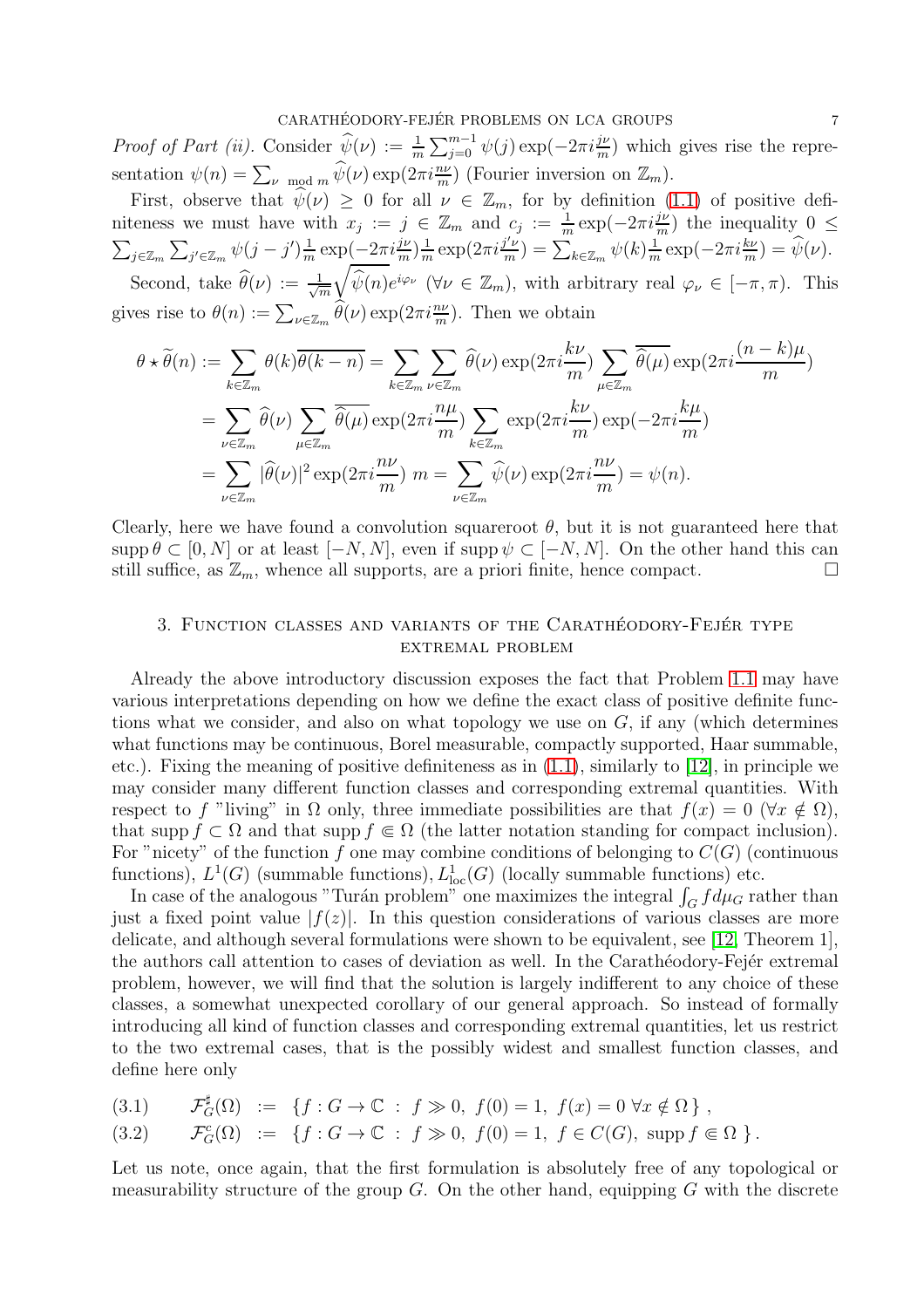*Proof of Part (ii).* Consider  $\hat{\psi}(\nu) := \frac{1}{m} \sum_{j=0}^{m-1} \psi(j) \exp(-2\pi i \frac{j\nu}{m})$  which gives rise the representation  $\psi(n) = \sum_{\nu \mod m} \widehat{\psi}(\nu) \exp(2\pi i \frac{n\nu}{m})$  (Fourier inversion on  $\mathbb{Z}_m$ ).

First, observe that  $\hat{\psi}(\nu) \geq 0$  for all  $\nu \in \mathbb{Z}_m$ , for by definition [\(1.1\)](#page-1-2) of positive definiteness we must have with  $x_j := j \in \mathbb{Z}_m$  and  $c_j := \frac{1}{m} \exp(-2\pi i \frac{j\nu}{m})$  the inequality  $0 \leq$  $\sum_{j\in\mathbb{Z}_m}\sum_{j'\in\mathbb{Z}_m}\psi(j-j')\frac{1}{m}$  $\frac{1}{m} \exp\left(-2\pi i \frac{j\nu}{m}\right) \frac{1}{m}$  $\frac{1}{m} \exp(2\pi i \frac{j' \nu}{m})$  $\frac{\partial^{\prime} \nu}{\partial m}$ ) =  $\sum_{k \in \mathbb{Z}_m} \psi(k) \frac{1}{m}$  $\frac{1}{m} \exp(-2\pi i \frac{k\nu}{m}) = \widehat{\psi}(\nu).$  $\sqrt{ }$ 

Second, take  $\hat{\theta}(\nu) := \frac{1}{\sqrt{\nu}}$ m  $\widehat{\psi}(n)e^{i\varphi_{\nu}}$  ( $\forall \nu \in \mathbb{Z}_m$ ), with arbitrary real  $\varphi_{\nu} \in [-\pi, \pi)$ . This gives rise to  $\theta(n) := \sum_{\nu \in \mathbb{Z}_m} \widehat{\theta}(\nu) \exp(2\pi i \frac{n\nu}{m})$ . Then we obtain

$$
\theta * \widetilde{\theta}(n) := \sum_{k \in \mathbb{Z}_m} \theta(k) \overline{\theta(k-n)} = \sum_{k \in \mathbb{Z}_m} \sum_{\nu \in \mathbb{Z}_m} \widehat{\theta}(\nu) \exp(2\pi i \frac{k\nu}{m}) \sum_{\mu \in \mathbb{Z}_m} \overline{\widehat{\theta}(\mu)} \exp(2\pi i \frac{(n-k)\mu}{m})
$$
  
= 
$$
\sum_{\nu \in \mathbb{Z}_m} \widehat{\theta}(\nu) \sum_{\mu \in \mathbb{Z}_m} \overline{\widehat{\theta}(\mu)} \exp(2\pi i \frac{n\mu}{m}) \sum_{k \in \mathbb{Z}_m} \exp(2\pi i \frac{k\nu}{m}) \exp(-2\pi i \frac{k\mu}{m})
$$
  
= 
$$
\sum_{\nu \in \mathbb{Z}_m} |\widehat{\theta}(\nu)|^2 \exp(2\pi i \frac{n\nu}{m}) m = \sum_{\nu \in \mathbb{Z}_m} \widehat{\psi}(\nu) \exp(2\pi i \frac{n\nu}{m}) = \psi(n).
$$

Clearly, here we have found a convolution squareroot  $\theta$ , but it is not guaranteed here that supp  $\theta \subset [0, N]$  or at least  $[-N, N]$ , even if supp  $\psi \subset [-N, N]$ . On the other hand this can still suffice, as  $\mathbb{Z}_m$ , whence all supports, are a priori finite, hence compact. still suffice, as  $\mathbb{Z}_m$ , whence all supports, are a priori finite, hence compact.

## 3. FUNCTION CLASSES AND VARIANTS OF THE CARATHÉODORY-FEJÉR TYPE extremal problem

Already the above introductory discussion exposes the fact that Problem [1.1](#page-0-0) may have various interpretations depending on how we define the exact class of positive definite functions what we consider, and also on what topology we use on  $G$ , if any (which determines what functions may be continuous, Borel measurable, compactly supported, Haar summable, etc.). Fixing the meaning of positive definiteness as in [\(1.1\)](#page-1-2), similarly to [\[12\]](#page-16-12), in principle we may consider many different function classes and corresponding extremal quantities. With respect to f "living" in  $\Omega$  only, three immediate possibilities are that  $f(x) = 0$  ( $\forall x \notin \Omega$ ), that supp  $f \subset \Omega$  and that supp  $f \in \Omega$  (the latter notation standing for compact inclusion). For "nicety" of the function f one may combine conditions of belonging to  $C(G)$  (continuous functions),  $L^1(G)$  (summable functions),  $L^1_{loc}(G)$  (locally summable functions) etc.

In case of the analogous "Turán problem" one maximizes the integral  $\int_G f d\mu_G$  rather than just a fixed point value  $|f(z)|$ . In this question considerations of various classes are more delicate, and although several formulations were shown to be equivalent, see [\[12,](#page-16-12) Theorem 1], the authors call attention to cases of deviation as well. In the Carathéodory-Fejér extremal problem, however, we will find that the solution is largely indifferent to any choice of these classes, a somewhat unexpected corollary of our general approach. So instead of formally introducing all kind of function classes and corresponding extremal quantities, let us restrict to the two extremal cases, that is the possibly widest and smallest function classes, and define here only

(3.1) 
$$
\mathcal{F}_G^{\sharp}(\Omega) := \{ f : G \to \mathbb{C} : f \gg 0, f(0) = 1, f(x) = 0 \,\forall x \notin \Omega \}
$$

$$
(3.2) \t\t \mathcal{F}_G^c(\Omega) := \{ f : G \to \mathbb{C} : f \gg 0, \ f(0) = 1, \ f \in C(G), \ \sup f \in \Omega \}.
$$

Let us note, once again, that the first formulation is absolutely free of any topological or measurability structure of the group  $G$ . On the other hand, equipping  $G$  with the discrete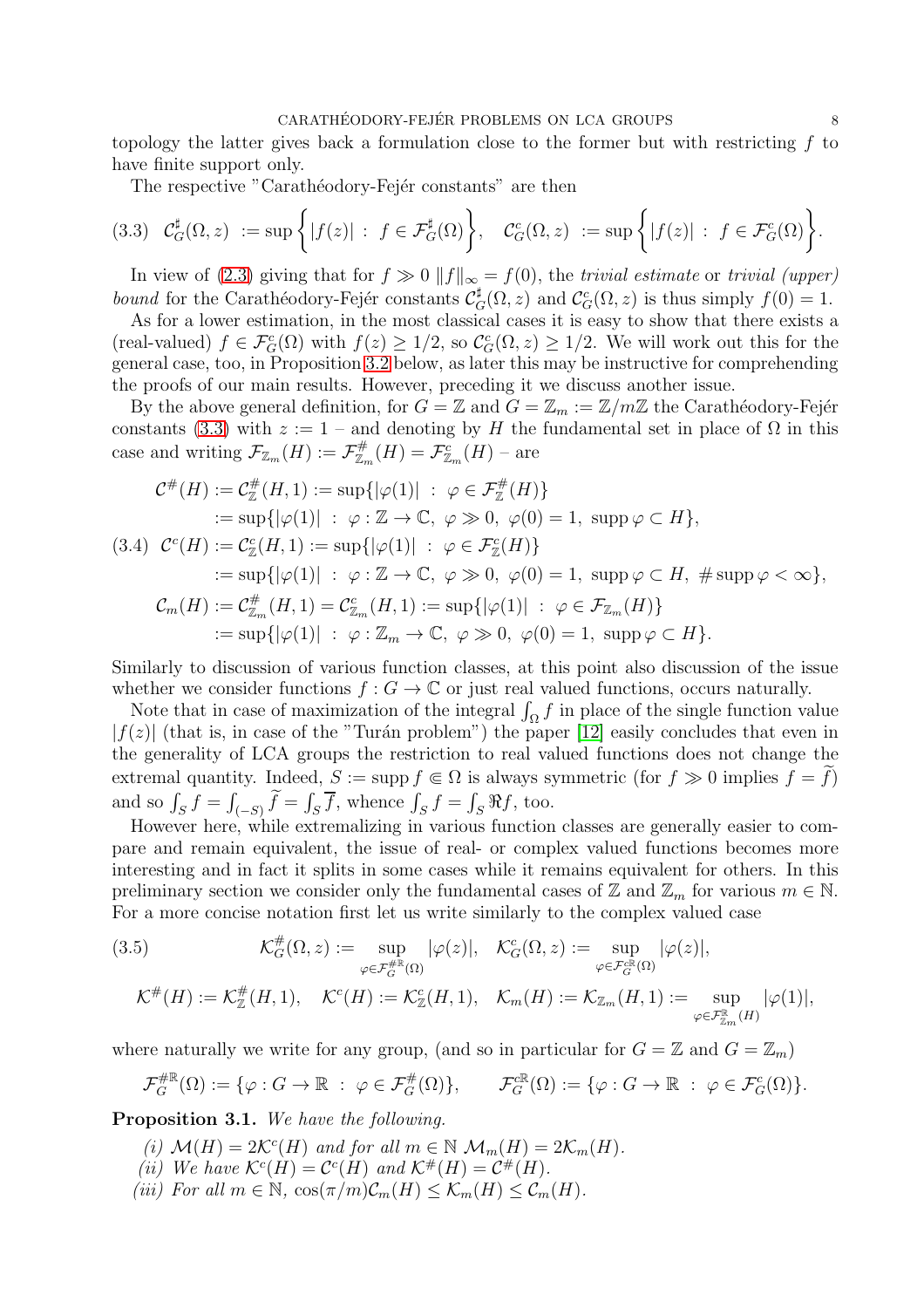topology the latter gives back a formulation close to the former but with restricting  $f$  to have finite support only.

<span id="page-7-1"></span>The respective "Carathéodory-Fejér constants" are then

$$
(3.3) \quad \mathcal{C}_G^{\sharp}(\Omega, z) := \sup \left\{ |f(z)| : f \in \mathcal{F}_G^{\sharp}(\Omega) \right\}, \quad \mathcal{C}_G^c(\Omega, z) := \sup \left\{ |f(z)| : f \in \mathcal{F}_G^c(\Omega) \right\}.
$$

In view of [\(2.3\)](#page-2-2) giving that for  $f \gg 0 ||f||_{\infty} = f(0)$ , the *trivial estimate* or *trivial (upper) bound* for the Carathéodory-Fejér constants  $\mathcal{C}_G^{\sharp}(\Omega, z)$  and  $\mathcal{C}_G^c(\Omega, z)$  is thus simply  $f(0) = 1$ .

As for a lower estimation, in the most classical cases it is easy to show that there exists a (real-valued)  $f \in \mathcal{F}_G^c(\Omega)$  with  $f(z) \geq 1/2$ , so  $\mathcal{C}_G^c(\Omega, z) \geq 1/2$ . We will work out this for the general case, too, in Proposition [3.2](#page-9-0) below, as later this may be instructive for comprehending the proofs of our main results. However, preceding it we discuss another issue.

By the above general definition, for  $G = \mathbb{Z}$  and  $G = \mathbb{Z}_m := \mathbb{Z}/m\mathbb{Z}$  the Carathéodory-Fejér constants [\(3.3\)](#page-7-1) with  $z := 1$  – and denoting by H the fundamental set in place of  $\Omega$  in this case and writing  $\mathcal{F}_{\mathbb{Z}_m}(H) := \mathcal{F}_{\mathbb{Z}_m}^{\#}(H) = \mathcal{F}_{\mathbb{Z}_m}^c(H)$  - are

$$
\mathcal{C}^{\#}(H) := \mathcal{C}_{\mathbb{Z}}^{\#}(H,1) := \sup\{|\varphi(1)| \; : \; \varphi \in \mathcal{F}_{\mathbb{Z}}^{\#}(H)\}
$$
\n
$$
:= \sup\{|\varphi(1)| \; : \; \varphi : \mathbb{Z} \to \mathbb{C}, \; \varphi \gg 0, \; \varphi(0) = 1, \; \text{supp}\,\varphi \subset H\},\
$$
\n(3.4) 
$$
\mathcal{C}^{c}(H) := \mathcal{C}_{\mathbb{Z}}^{c}(H,1) := \sup\{|\varphi(1)| \; : \; \varphi \in \mathcal{F}_{\mathbb{Z}}^{c}(H)\}
$$
\n
$$
:= \sup\{|\varphi(1)| \; : \; \varphi : \mathbb{Z} \to \mathbb{C}, \; \varphi \gg 0, \; \varphi(0) = 1, \; \text{supp}\,\varphi \subset H, \; \# \text{supp}\,\varphi < \infty\},\
$$
\n
$$
\mathcal{C}_{m}(H) := \mathcal{C}_{\mathbb{Z}_{m}}^{\#}(H,1) = \mathcal{C}_{\mathbb{Z}_{m}}^{c}(H,1) := \sup\{|\varphi(1)| \; : \; \varphi \in \mathcal{F}_{\mathbb{Z}_{m}}(H)\}
$$
\n
$$
:= \sup\{|\varphi(1)| \; : \; \varphi : \mathbb{Z}_{m} \to \mathbb{C}, \; \varphi \gg 0, \; \varphi(0) = 1, \; \text{supp}\,\varphi \subset H\}.
$$

Similarly to discussion of various function classes, at this point also discussion of the issue whether we consider functions  $f : G \to \mathbb{C}$  or just real valued functions, occurs naturally.

Note that in case of maximization of the integral  $\int_{\Omega} f$  in place of the single function value  $|f(z)|$  (that is, in case of the "Turán problem") the paper [\[12\]](#page-16-12) easily concludes that even in the generality of LCA groups the restriction to real valued functions does not change the extremal quantity. Indeed,  $S := \text{supp } f \in \Omega$  is always symmetric (for  $f \gg 0$  implies  $f = f$ ) and so  $\int_S f = \int$  $f_{(-S)} f = \int_S \overline{f}$ , whence  $\int_S f = \int_S \Re f$ , too.

However here, while extremalizing in various function classes are generally easier to compare and remain equivalent, the issue of real- or complex valued functions becomes more interesting and in fact it splits in some cases while it remains equivalent for others. In this preliminary section we consider only the fundamental cases of  $\mathbb{Z}$  and  $\mathbb{Z}_m$  for various  $m \in \mathbb{N}$ . For a more concise notation first let us write similarly to the complex valued case

(3.5) 
$$
\mathcal{K}_G^{\#}(\Omega, z) := \sup_{\varphi \in \mathcal{F}_G^{\#}(\Omega)} |\varphi(z)|, \quad \mathcal{K}_G^c(\Omega, z) := \sup_{\varphi \in \mathcal{F}_G^{\mathbb{R}}(\Omega)} |\varphi(z)|,
$$

$$
\mathcal{K}^{\#}(H) := \mathcal{K}_\mathbb{Z}^{\#}(H, 1), \quad \mathcal{K}^c(H) := \mathcal{K}_\mathbb{Z}^c(H, 1), \quad \mathcal{K}_m(H) := \mathcal{K}_{\mathbb{Z}_m}(H, 1) := \sup_{\varphi \in \mathcal{F}_{\mathbb{Z}_m}^{\mathbb{R}}(H)} |\varphi(1)|,
$$

where naturally we write for any group, (and so in particular for  $G = \mathbb{Z}$  and  $G = \mathbb{Z}_m$ )

$$
\mathcal{F}_G^{\# \mathbb{R}}(\Omega) := \{ \varphi : G \to \mathbb{R} \; : \; \varphi \in \mathcal{F}_G^{\#}(\Omega) \}, \qquad \mathcal{F}_G^{\mathbb{R}}(\Omega) := \{ \varphi : G \to \mathbb{R} \; : \; \varphi \in \mathcal{F}_G^c(\Omega) \}.
$$

<span id="page-7-0"></span>Proposition 3.1. *We have the following.*

- (i)  $\mathcal{M}(H) = 2\mathcal{K}^c(H)$  and for all  $m \in \mathbb{N}$   $\mathcal{M}_m(H) = 2\mathcal{K}_m(H)$ .
- (*ii*) We have  $\mathcal{K}^c(H) = \mathcal{C}^c(H)$  and  $\mathcal{K}^{\#}(H) = \mathcal{C}^{\#}(H)$ .
- *(iii)* For all  $m \in \mathbb{N}$ ,  $\cos(\pi/m)\mathcal{C}_m(H) \leq \mathcal{K}_m(H) \leq \mathcal{C}_m(H)$ .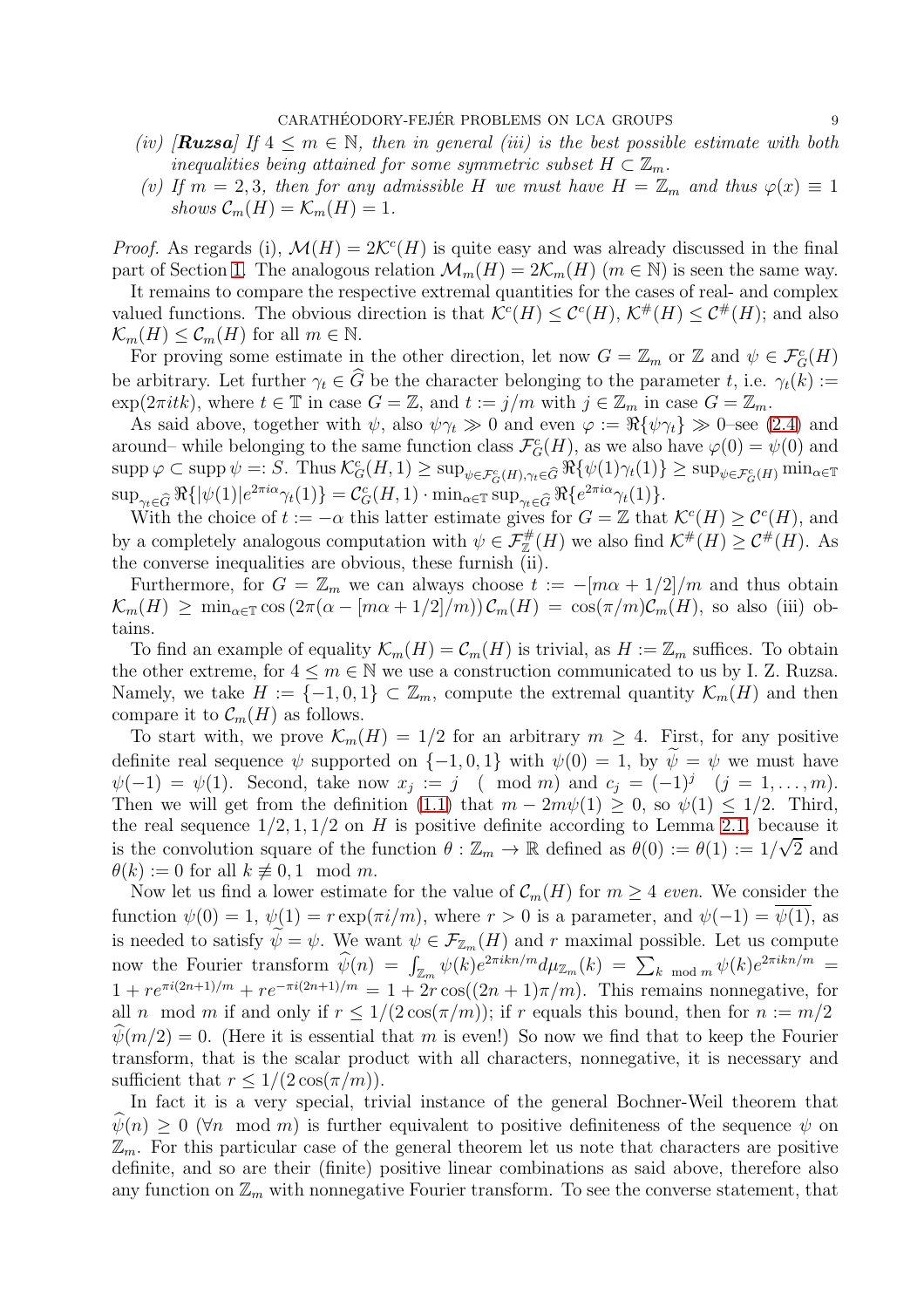- *(iv)* [**Ruzsa**] If  $4 \leq m \in \mathbb{N}$ , then in general *(iii)* is the best possible estimate with both *inequalities being attained for some symmetric subset*  $H \subset \mathbb{Z}_m$ .
- *(v)* If  $m = 2, 3$ , then for any admissible H we must have  $H = \mathbb{Z}_m$  and thus  $\varphi(x) \equiv 1$ *shows*  $\mathcal{C}_m(H) = \mathcal{K}_m(H) = 1$ .

*Proof.* As regards (i),  $\mathcal{M}(H) = 2\mathcal{K}^c(H)$  is quite easy and was already discussed in the final part of Section [1.](#page-0-1) The analogous relation  $\mathcal{M}_m(H) = 2\mathcal{K}_m(H)$  ( $m \in \mathbb{N}$ ) is seen the same way.

It remains to compare the respective extremal quantities for the cases of real- and complex valued functions. The obvious direction is that  $\mathcal{K}^c(H) \leq \mathcal{C}^c(H)$ ,  $\mathcal{K}^{\#}(H) \leq \mathcal{C}^{\#}(H)$ ; and also  $\mathcal{K}_m(H) \leq \mathcal{C}_m(H)$  for all  $m \in \mathbb{N}$ .

For proving some estimate in the other direction, let now  $G = \mathbb{Z}_m$  or  $\mathbb{Z}$  and  $\psi \in \mathcal{F}_G^c(H)$ be arbitrary. Let further  $\gamma_t \in \widehat{G}$  be the character belonging to the parameter t, i.e.  $\gamma_t(k) :=$  $\exp(2\pi i t k)$ , where  $t \in \mathbb{T}$  in case  $G = \mathbb{Z}$ , and  $t := j/m$  with  $j \in \mathbb{Z}_m$  in case  $G = \mathbb{Z}_m$ .

As said above, together with  $\psi$ , also  $\psi \gamma_t \gg 0$  and even  $\varphi := \Re{\lbrace \psi \gamma_t \rbrace} \gg 0$ –see [\(2.4\)](#page-3-1) and around– while belonging to the same function class  $\mathcal{F}_G^c(H)$ , as we also have  $\varphi(0) = \psi(0)$  and  $\sup p \varphi \subset \sup \psi =: S.$  Thus  $\mathcal{K}_G^c(H, 1) \geq \sup_{\psi \in \mathcal{F}_G^c(H), \gamma_t \in \widehat{G}} \Re \{\psi(1)\gamma_t(1)\} \geq \sup_{\psi \in \mathcal{F}_G^c(H)} \min_{\alpha \in \mathbb{T}}$  $\sup_{\gamma_t \in \widehat{G}} \Re\{|\psi(1)|e^{2\pi i \alpha}\gamma_t(1)\} = \mathcal{C}_G^c(H, 1) \cdot \min_{\alpha \in \mathbb{T}} \sup_{\gamma_t \in \widehat{G}} \Re\{e^{2\pi i \alpha}\gamma_t(1)\}.$ 

With the choice of  $t := -\alpha$  this latter estimate gives for  $G = \mathbb{Z}$  that  $\mathcal{K}^c(H) \geq \mathcal{C}^c(H)$ , and by a completely analogous computation with  $\psi \in \mathcal{F}_{\mathbb{Z}}^{\#}(H)$  we also find  $\mathcal{K}^{\#}(H) \geq \mathcal{C}^{\#}(H)$ . As the converse inequalities are obvious, these furnish (ii).

Furthermore, for  $G = \mathbb{Z}_m$  we can always choose  $t := -[m\alpha + 1/2]/m$  and thus obtain  $\mathcal{K}_m(H) \geq \min_{\alpha \in \mathbb{T}} \cos(2\pi(\alpha - [m\alpha + 1/2]/m)) \mathcal{C}_m(H) = \cos(\pi/m) \mathcal{C}_m(H)$ , so also (iii) obtains.

To find an example of equality  $\mathcal{K}_m(H) = \mathcal{C}_m(H)$  is trivial, as  $H := \mathbb{Z}_m$  suffices. To obtain the other extreme, for  $4 \leq m \in \mathbb{N}$  we use a construction communicated to us by I. Z. Ruzsa. Namely, we take  $H := \{-1, 0, 1\} \subset \mathbb{Z}_m$ , compute the extremal quantity  $\mathcal{K}_m(H)$  and then compare it to  $\mathcal{C}_m(H)$  as follows.

To start with, we prove  $\mathcal{K}_m(H) = 1/2$  for an arbitrary  $m \geq 4$ . First, for any positive definite real sequence  $\psi$  supported on {-1, 0, 1} with  $\psi(0) = 1$ , by  $\tilde{\psi} = \psi$  we must have  $\psi(-1) = \psi(1)$ . Second, take now  $x_j := j \pmod{m}$  and  $c_j = (-1)^j \quad (j = 1, \ldots, m)$ . Then we will get from the definition [\(1.1\)](#page-1-2) that  $m - 2m\psi(1) \geq 0$ , so  $\psi(1) \leq 1/2$ . Third, the real sequence  $1/2, 1, 1/2$  on H is positive definite according to Lemma [2.1,](#page-5-0) because it is the convolution square of the function  $\theta : \mathbb{Z}_m \to \mathbb{R}$  defined as  $\theta(0) := \theta(1) := 1/\sqrt{2}$  and  $\theta(k) := 0$  for all  $k \not\equiv 0, 1 \mod m$ .

Now let us find a lower estimate for the value of  $\mathcal{C}_m(H)$  for  $m \geq 4$  *even*. We consider the function  $\psi(0) = 1$ ,  $\psi(1) = r \exp(\pi i/m)$ , where  $r > 0$  is a parameter, and  $\psi(-1) = \psi(1)$ , as is needed to satisfy  $\widetilde{\psi} = \psi$ . We want  $\psi \in \mathcal{F}_{\mathbb{Z}_m}(H)$  and r maximal possible. Let us compute now the Fourier transform  $\hat{\psi}(n) = \int_{\mathbb{Z}_m} \psi(k) e^{2\pi i k n/m} d\mu_{\mathbb{Z}_m}(k) = \sum_{k \mod m} \psi(k) e^{2\pi i k n/m} =$  $1 + re^{\pi i (2n+1)/m} + re^{-\pi i (2n+1)/m} = 1 + 2r \cos((2n+1)\pi/m)$ . This remains nonnegative, for all n mod m if and only if  $r \le 1/(2 \cos(\pi/m))$ ; if r equals this bound, then for  $n := m/2$  $\psi(m/2) = 0$ . (Here it is essential that m is even!) So now we find that to keep the Fourier transform, that is the scalar product with all characters, nonnegative, it is necessary and sufficient that  $r \leq 1/(2 \cos(\pi/m))$ .

In fact it is a very special, trivial instance of the general Bochner-Weil theorem that  $\psi(n) \geq 0$  ( $\forall n \mod m$ ) is further equivalent to positive definiteness of the sequence  $\psi$  on  $\mathbb{Z}_m$ . For this particular case of the general theorem let us note that characters are positive definite, and so are their (finite) positive linear combinations as said above, therefore also any function on  $\mathbb{Z}_m$  with nonnegative Fourier transform. To see the converse statement, that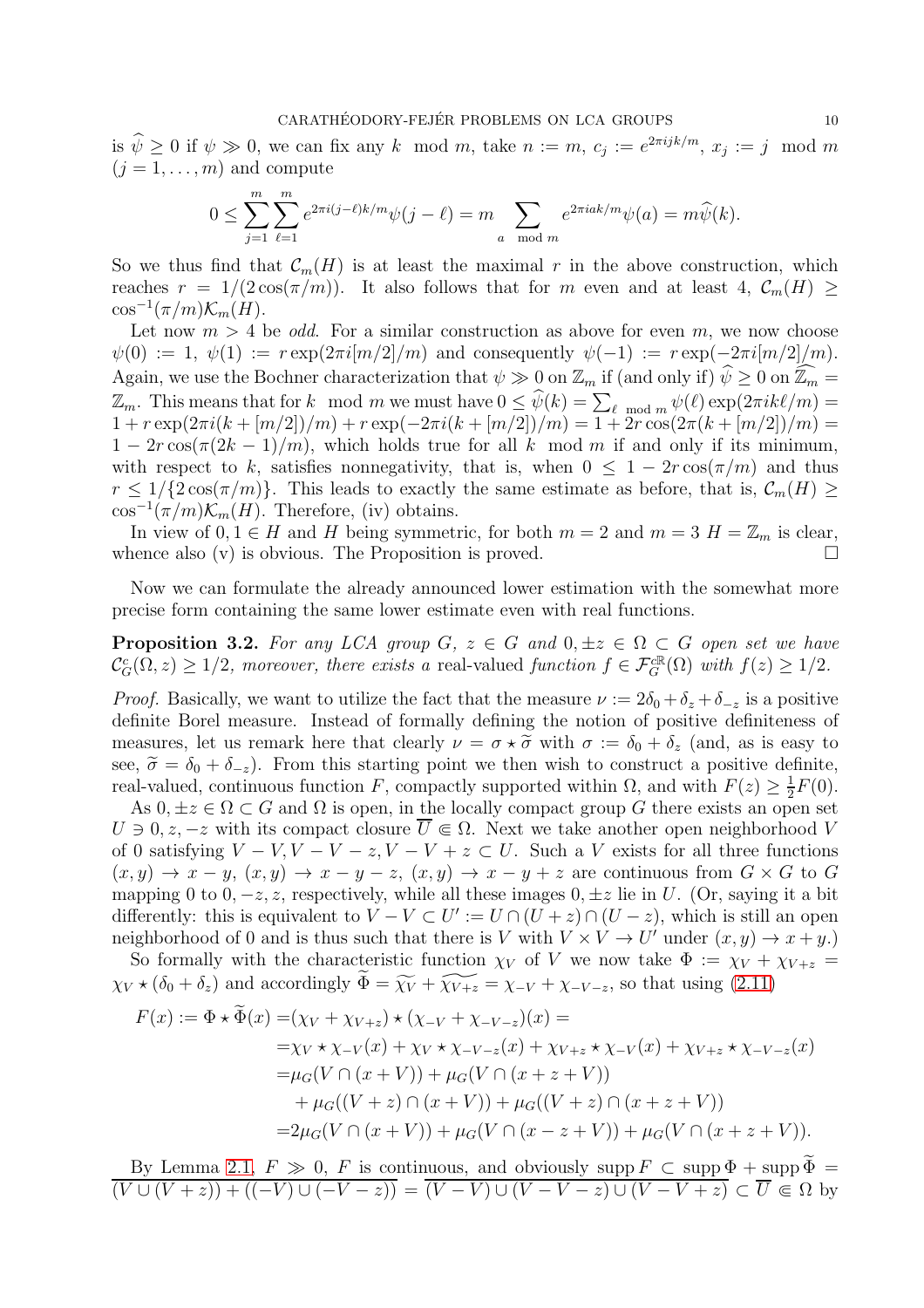is  $\hat{\psi} \ge 0$  if  $\psi \gg 0$ , we can fix any k mod m, take  $n := m$ ,  $c_j := e^{2\pi i j k/m}$ ,  $x_j := j \mod m$  $(j = 1, \ldots, m)$  and compute

$$
0 \le \sum_{j=1}^m \sum_{\ell=1}^m e^{2\pi i (j-\ell)k/m} \psi(j-\ell) = m \sum_{a \mod m} e^{2\pi i a k/m} \psi(a) = m \widehat{\psi}(k).
$$

So we thus find that  $\mathcal{C}_m(H)$  is at least the maximal r in the above construction, which reaches  $r = 1/(2 \cos(\pi/m))$ . It also follows that for m even and at least 4,  $\mathcal{C}_m(H) \ge$  $\cos^{-1}(\pi/m)\mathcal{K}_m(H)$ .

Let now  $m > 4$  be *odd*. For a similar construction as above for even m, we now choose  $\psi(0) := 1, \ \psi(1) := r \exp(2\pi i [m/2]/m)$  and consequently  $\psi(-1) := r \exp(-2\pi i [m/2]/m)$ . Again, we use the Bochner characterization that  $\psi \gg 0$  on  $\mathbb{Z}_m$  if (and only if)  $\hat{\psi} \ge 0$  on  $\widehat{\mathbb{Z}_m} =$  $\mathbb{Z}_m$ . This means that for k mod m we must have  $0 \leq \widehat{\psi}(k) = \sum_{\ell \mod m} \psi(\ell) \exp(2\pi i k\ell/m) =$  $1 + r \exp(2\pi i (k + [m/2])/m) + r \exp(-2\pi i (k + [m/2])/m) = 1 + 2r \cos(2\pi (k + [m/2])/m) =$  $1 - 2r \cos(\pi(2k-1)/m)$ , which holds true for all k mod m if and only if its minimum, with respect to k, satisfies nonnegativity, that is, when  $0 \leq 1 - 2r \cos(\pi/m)$  and thus  $r \leq 1/\{2\cos(\pi/m)\}\.$  This leads to exactly the same estimate as before, that is,  $\mathcal{C}_m(H) \geq$  $\cos^{-1}(\pi/m)\mathcal{K}_m(H)$ . Therefore, (iv) obtains.

In view of  $0, 1 \in H$  and H being symmetric, for both  $m = 2$  and  $m = 3$   $H = \mathbb{Z}_m$  is clear, nence also (v) is obvious. The Proposition is proved. whence also (v) is obvious. The Proposition is proved.

Now we can formulate the already announced lower estimation with the somewhat more precise form containing the same lower estimate even with real functions.

<span id="page-9-0"></span>**Proposition 3.2.** For any LCA group  $G, z \in G$  and  $0, \pm z \in \Omega \subset G$  open set we have  $\mathcal{C}_G^c(\Omega, z) \geq 1/2$ , moreover, there exists a real-valued *function*  $f \in \mathcal{F}_G^{c}(\Omega)$  with  $f(z) \geq 1/2$ .

*Proof.* Basically, we want to utilize the fact that the measure  $\nu := 2\delta_0 + \delta_z + \delta_{-z}$  is a positive definite Borel measure. Instead of formally defining the notion of positive definiteness of measures, let us remark here that clearly  $\nu = \sigma \star \tilde{\sigma}$  with  $\sigma := \delta_0 + \delta_z$  (and, as is easy to see,  $\tilde{\sigma} = \delta_0 + \delta_{-z}$ . From this starting point we then wish to construct a positive definite, real-valued, continuous function F, compactly supported within  $\Omega$ , and with  $F(z) \geq \frac{1}{2}$  $rac{1}{2}F(0).$ 

As  $0, \pm z \in \Omega \subset G$  and  $\Omega$  is open, in the locally compact group G there exists an open set  $U \ni 0, z, -z$  with its compact closure  $\overline{U} \Subset \Omega$ . Next we take another open neighborhood V of 0 satisfying  $V - V$ ,  $V - V - z$ ,  $V - V + z \subset U$ . Such a V exists for all three functions  $(x, y) \rightarrow x - y$ ,  $(x, y) \rightarrow x - y - z$ ,  $(x, y) \rightarrow x - y + z$  are continuous from  $G \times G$  to G mapping 0 to 0,  $-z$ , z, respectively, while all these images 0,  $\pm z$  lie in U. (Or, saying it a bit differently: this is equivalent to  $V - V \subset U' := U \cap (U + z) \cap (U - z)$ , which is still an open neighborhood of 0 and is thus such that there is V with  $V \times V \to U'$  under  $(x, y) \to x + y$ .

So formally with the characteristic function  $\chi_V$  of V we now take  $\Phi := \chi_V + \chi_{V+z} =$  $\chi_V \star (\delta_0 + \delta_z)$  and accordingly  $\widetilde{\Phi} = \widetilde{\chi_V} + \widetilde{\chi_{V+z}} = \chi_{-V} + \chi_{-V-z}$ , so that using [\(2.11\)](#page-4-3)

$$
F(x) := \Phi \star \Phi(x) = (\chi_V + \chi_{V+z}) \star (\chi_{-V} + \chi_{-V-z})(x) =
$$
  
\n
$$
= \chi_V \star \chi_{-V}(x) + \chi_V \star \chi_{-V-z}(x) + \chi_{V+z} \star \chi_{-V}(x) + \chi_{V+z} \star \chi_{-V-z}(x)
$$
  
\n
$$
= \mu_G(V \cap (x+V)) + \mu_G(V \cap (x+z+V))
$$
  
\n
$$
+ \mu_G((V+z) \cap (x+V)) + \mu_G((V+z) \cap (x+z+V))
$$
  
\n
$$
= 2\mu_G(V \cap (x+V)) + \mu_G(V \cap (x-z+V)) + \mu_G(V \cap (x+z+V)).
$$

By Lemma [2.1,](#page-5-0)  $F \gg 0$ , F is continuous, and obviously supp  $F \subset \text{supp }\Phi + \text{supp }\Phi =$  $(\overline{(V \cup (V + z)) + ((-V) \cup (-V - z))}) = (\overline{(V - V) \cup (V - V - z) \cup (V - V + z)}) \subset \overline{U} \Subset \Omega$  by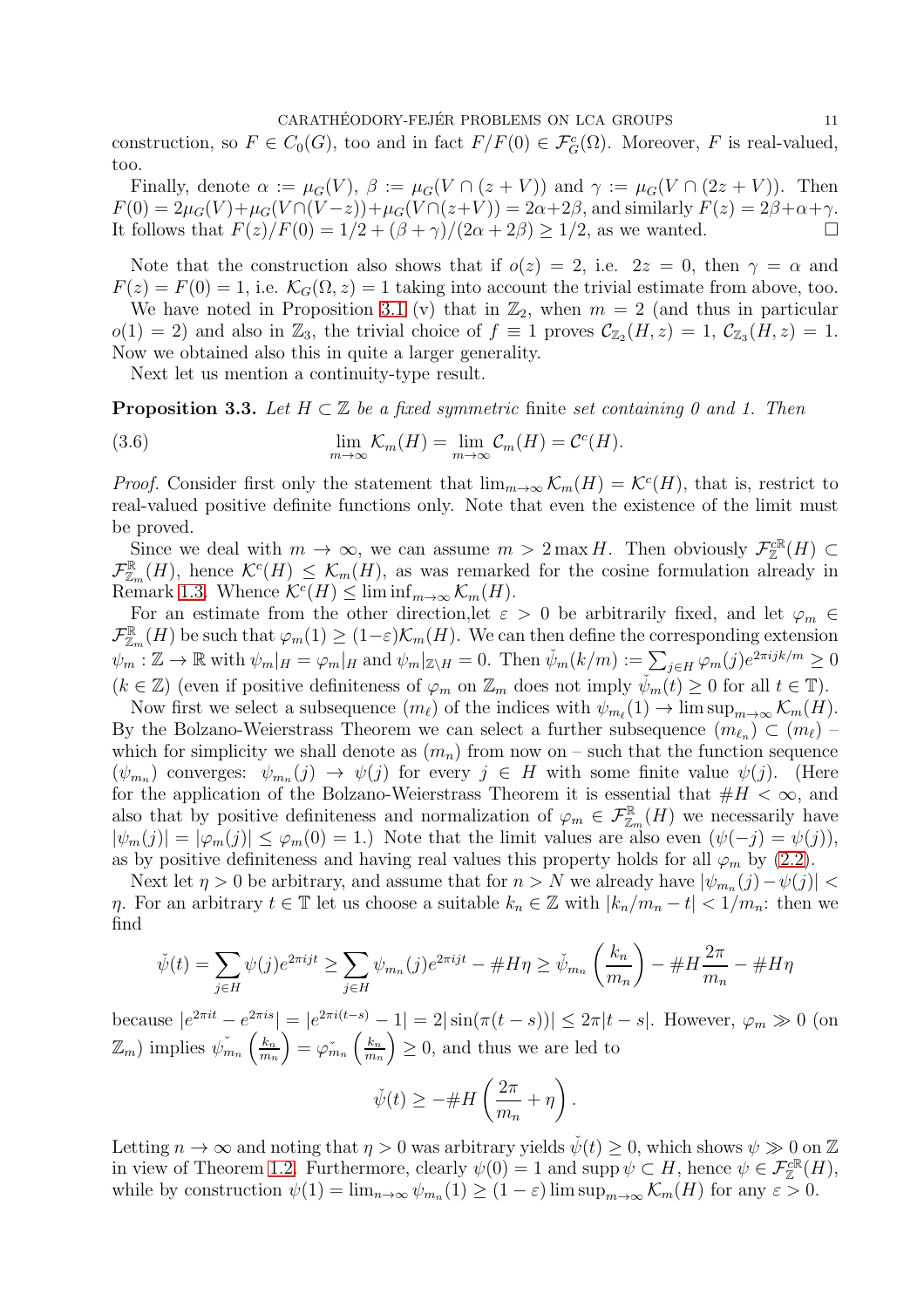construction, so  $F \in C_0(G)$ , too and in fact  $F/F(0) \in \mathcal{F}_G^c(\Omega)$ . Moreover, F is real-valued, too.

Finally, denote  $\alpha := \mu_G(V)$ ,  $\beta := \mu_G(V \cap (z + V))$  and  $\gamma := \mu_G(V \cap (2z + V))$ . Then  $F(0) = 2\mu_G(V) + \mu_G(V \cap (V - z)) + \mu_G(V \cap (z + V)) = 2\alpha + 2\beta$ , and similarly  $F(z) = 2\beta + \alpha + \gamma$ .<br>It follows that  $F(z)/F(0) = 1/2 + (\beta + \gamma)/(2\alpha + 2\beta) > 1/2$  as we wanted It follows that  $F(z)/F(0) = 1/2 + (\beta + \gamma)/(2\alpha + 2\beta) \ge 1/2$ , as we wanted.

Note that the construction also shows that if  $o(z) = 2$ , i.e.  $2z = 0$ , then  $\gamma = \alpha$  and  $F(z) = F(0) = 1$ , i.e.  $\mathcal{K}_G(\Omega, z) = 1$  taking into account the trivial estimate from above, too.

We have noted in Proposition [3.1](#page-7-0) (v) that in  $\mathbb{Z}_2$ , when  $m = 2$  (and thus in particular  $o(1) = 2$ ) and also in  $\mathbb{Z}_3$ , the trivial choice of  $f \equiv 1$  proves  $\mathcal{C}_{\mathbb{Z}_2}(H, z) = 1$ ,  $\mathcal{C}_{\mathbb{Z}_3}(H, z) = 1$ . Now we obtained also this in quite a larger generality.

<span id="page-10-0"></span>Next let us mention a continuity-type result.

<span id="page-10-1"></span>Proposition 3.3. *Let* <sup>H</sup> <sup>⊂</sup> <sup>Z</sup> *be a fixed symmetric* finite *set containing 0 and 1. Then*

(3.6) 
$$
\lim_{m \to \infty} \mathcal{K}_m(H) = \lim_{m \to \infty} \mathcal{C}_m(H) = \mathcal{C}^c(H).
$$

*Proof.* Consider first only the statement that  $\lim_{m\to\infty} \mathcal{K}_m(H) = \mathcal{K}^c(H)$ , that is, restrict to real-valued positive definite functions only. Note that even the existence of the limit must be proved.

Since we deal with  $m \to \infty$ , we can assume  $m > 2 \max H$ . Then obviously  $\mathcal{F}_{\mathbb{Z}}^{c\mathbb{R}}(H) \subset$  $\mathcal{F}_{\mathbb{Z}_m}^{\mathbb{R}}(H)$ , hence  $\mathcal{K}^c(H) \leq \mathcal{K}_m(H)$ , as was remarked for the cosine formulation already in Remark [1.3.](#page-2-4) Whence  $\mathcal{K}^c(H) \leq \liminf_{m \to \infty} \mathcal{K}_m(H)$ .

For an estimate from the other direction, let  $\varepsilon > 0$  be arbitrarily fixed, and let  $\varphi_m \in$  $\mathcal{F}_{\mathbb{Z}_m}^{\mathbb{R}}(H)$  be such that  $\varphi_m(1) \geq (1-\varepsilon)\mathcal{K}_m(H)$ . We can then define the corresponding extension  $\psi_m : \mathbb{Z} \to \mathbb{R}$  with  $\psi_m|_H = \varphi_m|_H$  and  $\psi_m|_{\mathbb{Z} \setminus H} = 0$ . Then  $\check{\psi}_m(k/m) := \sum_{j \in H} \varphi_m(j) e^{2\pi i jk/m} \ge 0$  $(k \in \mathbb{Z})$  (even if positive definiteness of  $\varphi_m$  on  $\mathbb{Z}_m$  does not imply  $\psi_m(t) \geq 0$  for all  $t \in \mathbb{T}$ ).

Now first we select a subsequence  $(m_{\ell})$  of the indices with  $\psi_{m_{\ell}}(1) \to \limsup_{m \to \infty} \mathcal{K}_m(H)$ . By the Bolzano-Weierstrass Theorem we can select a further subsequence  $(m_{\ell_n}) \subset (m_{\ell})$ which for simplicity we shall denote as  $(m_n)$  from now on – such that the function sequence  $(\psi_{m_n})$  converges:  $\psi_{m_n}(j) \to \psi(j)$  for every  $j \in H$  with some finite value  $\psi(j)$ . (Here for the application of the Bolzano-Weierstrass Theorem it is essential that  $#H < \infty$ , and also that by positive definiteness and normalization of  $\varphi_m \in \mathcal{F}_{\mathbb{Z}_m}^{\mathbb{R}}(H)$  we necessarily have  $|\psi_m(j)| = |\varphi_m(j)| \leq \varphi_m(0) = 1.$  Note that the limit values are also even  $(\psi(-j) = \psi(j)),$ as by positive definiteness and having real values this property holds for all  $\varphi_m$  by [\(2.2\)](#page-2-0).

Next let  $\eta > 0$  be arbitrary, and assume that for  $n > N$  we already have  $|\psi_{m_n}(j) - \psi(j)| <$ η. For an arbitrary  $t \in \mathbb{T}$  let us choose a suitable  $k_n \in \mathbb{Z}$  with  $|k_n/m_n - t| < 1/m_n$ : then we find

$$
\check{\psi}(t) = \sum_{j \in H} \psi(j) e^{2\pi i j t} \ge \sum_{j \in H} \psi_{m_n}(j) e^{2\pi i j t} - \#H\eta \ge \check{\psi}_{m_n}\left(\frac{k_n}{m_n}\right) - \#H\frac{2\pi}{m_n} - \#H\eta
$$

because  $|e^{2\pi it} - e^{2\pi is}| = |e^{2\pi i(t-s)} - 1| = 2|\sin(\pi(t-s))| \leq 2\pi|t-s|$ . However,  $\varphi_m \gg 0$  (on  $(\mathbb{Z}_m)$  implies  $\check{\psi}_{m_n}(\frac{k_n}{m_n})$  $m_n$  $= \varphi_{m_n}^{\check{}}\left(\frac{k_n}{m_n}\right)$  $m_n$  $\left( \frac{1}{2} \right) \geq 0$ , and thus we are led to

$$
\check{\psi}(t) \geq - \# H\left(\frac{2\pi}{m_n} + \eta\right).
$$

Letting  $n \to \infty$  and noting that  $\eta > 0$  was arbitrary yields  $\dot{\psi}(t) \geq 0$ , which shows  $\psi \gg 0$  on Z in view of Theorem [1.2.](#page-1-1) Furthermore, clearly  $\psi(0) = 1$  and supp  $\psi \subset H$ , hence  $\psi \in \mathcal{F}_{\mathbb{Z}}^{c\mathbb{R}}(H)$ , while by construction  $\psi(1) = \lim_{n \to \infty} \psi_{m_n}(1) \ge (1 - \varepsilon) \limsup_{m \to \infty} \mathcal{K}_m(H)$  for any  $\varepsilon > 0$ .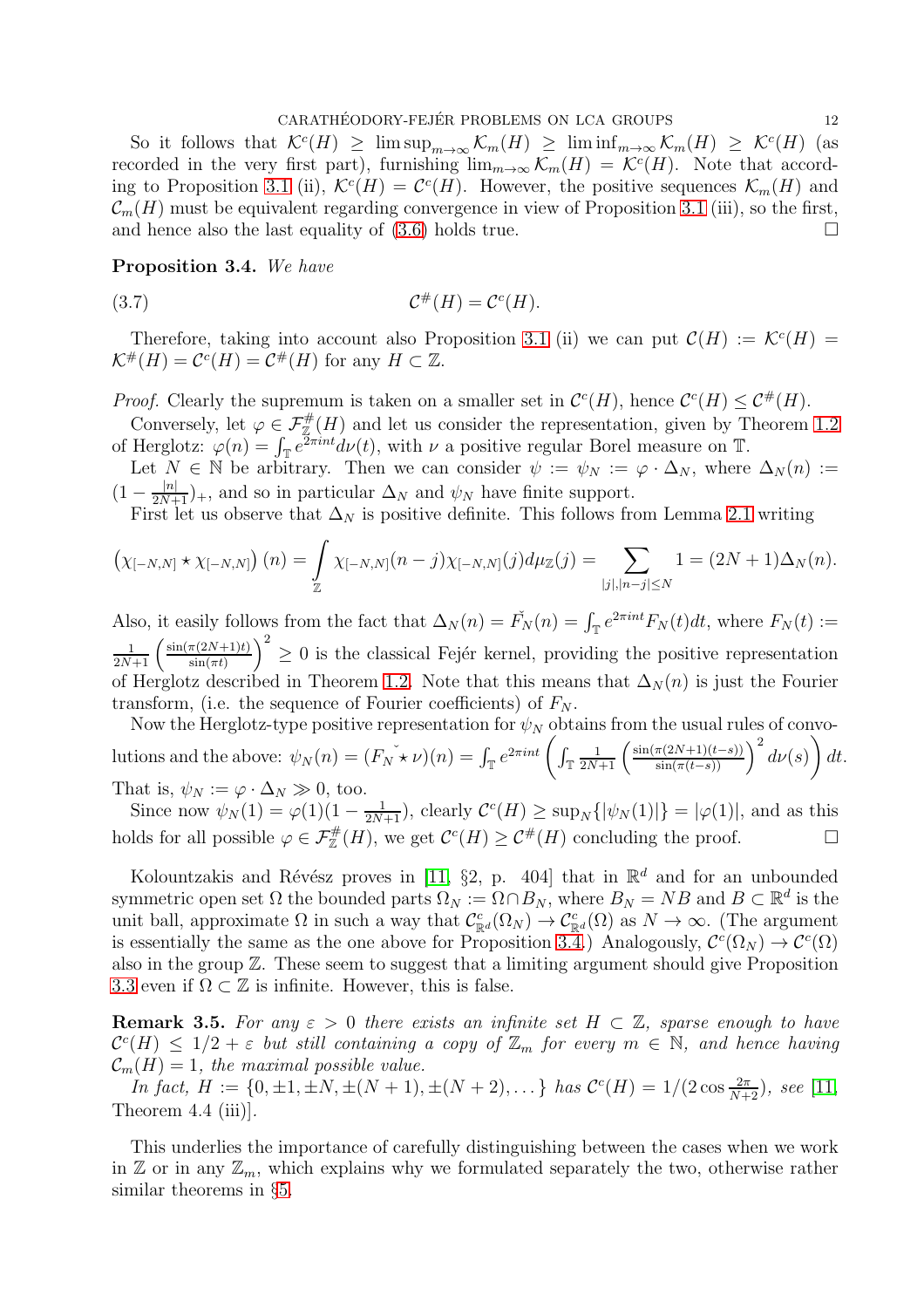So it follows that  $\mathcal{K}^c(H) \geq \limsup_{m \to \infty} \mathcal{K}_m(H) \geq \liminf_{m \to \infty} \mathcal{K}_m(H) \geq \mathcal{K}^c(H)$  (as recorded in the very first part), furnishing  $\lim_{m\to\infty} \mathcal{K}_m(H) = \mathcal{K}^c(H)$ . Note that accord-ing to Proposition [3.1](#page-7-0) (ii),  $\mathcal{K}^c(H) = \mathcal{C}^c(H)$ . However, the positive sequences  $\mathcal{K}_m(H)$  and  $\mathcal{C}_m(H)$  must be equivalent regarding convergence in view of Proposition [3.1](#page-7-0) (iii), so the first, and hence also the last equality of (3.6) holds true and hence also the last equality of [\(3.6\)](#page-10-0) holds true.

### <span id="page-11-0"></span>Proposition 3.4. *We have*

$$
(3.7) \t\t \t\t \mathcal{C}^{\#}(H) = \mathcal{C}^c(H).
$$

Therefore, taking into account also Proposition [3.1](#page-7-0) (ii) we can put  $\mathcal{C}(H) := \mathcal{K}^c(H) =$  $\mathcal{K}^{\#}(H) = \mathcal{C}^{c}(H) = \mathcal{C}^{\#}(H)$  for any  $H \subset \mathbb{Z}$ .

*Proof.* Clearly the supremum is taken on a smaller set in  $\mathcal{C}^c(H)$ , hence  $\mathcal{C}^c(H) \leq \mathcal{C}^{\#}(H)$ .

Conversely, let  $\varphi \in \mathcal{F}_{\mathbb{Z}}^{\#}(H)$  and let us consider the representation, given by Theorem [1.2](#page-1-1) of Herglotz:  $\varphi(n) = \int_{\mathbb{T}} e^{\overline{2}\pi int} d\nu(t)$ , with  $\nu$  a positive regular Borel measure on  $\mathbb{T}$ .

Let  $N \in \mathbb{N}$  be arbitrary. Then we can consider  $\psi := \psi_N := \varphi \cdot \Delta_N$ , where  $\Delta_N(n) :=$  $(1 - \frac{|n|}{2N+1})_+$ , and so in particular  $\Delta_N$  and  $\psi_N$  have finite support.

First let us observe that  $\Delta_N$  is positive definite. This follows from Lemma [2.1](#page-5-0) writing

$$
\left(\chi_{[-N,N]} \star \chi_{[-N,N]}\right)(n) = \int_{\mathbb{Z}} \chi_{[-N,N]}(n-j) \chi_{[-N,N]}(j) d\mu_{\mathbb{Z}}(j) = \sum_{|j|, |n-j| \leq N} 1 = (2N+1) \Delta_N(n).
$$

Also, it easily follows from the fact that  $\Delta_N(n) = \tilde{F}_N(n) = \int_{\mathbb{T}} e^{2\pi int} F_N(t) dt$ , where  $F_N(t) :=$  $\frac{1}{2N+1} \left( \frac{\sin(\pi(2N+1)t)}{\sin(\pi t)} \right)$  $\sin(\pi t)$  $\left(\frac{1}{2}\right)^2 \geq 0$  is the classical Fejér kernel, providing the positive representation of Herglotz described in Theorem [1.2.](#page-1-1) Note that this means that  $\Delta_N(n)$  is just the Fourier transform, (i.e. the sequence of Fourier coefficients) of  $F_N$ .

Now the Herglotz-type positive representation for  $\psi_N$  obtains from the usual rules of convolutions and the above:  $\psi_N(n) = (F_N \star \nu)(n) = \int_{\mathbb{T}} e^{2\pi int} \left( \int_{\mathbb{T}} \frac{1}{2N+1} \left( \frac{\sin(\pi(2N+1)(t-s))}{\sin(\pi(t-s))} \right)^2 d\nu(s)$  $\lambda$ dt. That is,  $\psi_N := \varphi \cdot \Delta_N \gg 0$ , too.

Since now  $\psi_N(1) = \varphi(1)(1 - \frac{1}{2N+1})$ , clearly  $\mathcal{C}^c(H) \ge \sup_N \{|\psi_N(1)|\} = |\varphi(1)|$ , and as this holds for all possible  $\varphi \in \mathcal{F}_{\mathbb{Z}}^{\#}(H)$ , we get  $\mathcal{C}^c(H) \geq \mathcal{C}^{\#}(H)$  concluding the proof.

Kolountzakis and Révész proves in [\[11,](#page-16-1) §2, p. 404] that in  $\mathbb{R}^d$  and for an unbounded symmetric open set  $\Omega$  the bounded parts  $\Omega_N := \Omega \cap B_N$ , where  $B_N = NB$  and  $B \subset \mathbb{R}^d$  is the unit ball, approximate  $\Omega$  in such a way that  $\mathcal{C}^c_{\mathbb{R}^d}(\Omega_N) \to \mathcal{C}^c_{\mathbb{R}^d}(\Omega)$  as  $N \to \infty$ . (The argument is essentially the same as the one above for Proposition [3.4.](#page-11-0)) Analogously,  $\mathcal{C}^c(\Omega_N) \to \mathcal{C}^c(\Omega)$ also in the group Z. These seem to suggest that a limiting argument should give Proposition [3.3](#page-10-1) even if  $\Omega \subset \mathbb{Z}$  is infinite. However, this is false.

**Remark 3.5.** For any  $\varepsilon > 0$  there exists an infinite set  $H \subset \mathbb{Z}$ , sparse enough to have  $\mathcal{C}^{c}(H) \leq 1/2 + \varepsilon$  but still containing a copy of  $\mathbb{Z}_{m}$  for every  $m \in \mathbb{N}$ , and hence having  $\mathcal{C}_m(H) = 1$ , the maximal possible value.

*In fact,*  $H := \{0, \pm 1, \pm N, \pm (N + 1), \pm (N + 2), \dots\}$  *has*  $C^{c}(H) = 1/(2 \cos \frac{2\pi}{N+2})$ *, see* [\[11,](#page-16-1) Theorem 4.4 (iii)]*.*

This underlies the importance of carefully distinguishing between the cases when we work in  $\mathbb Z$  or in any  $\mathbb Z_m$ , which explains why we formulated separately the two, otherwise rather similar theorems in §[5.](#page-13-0)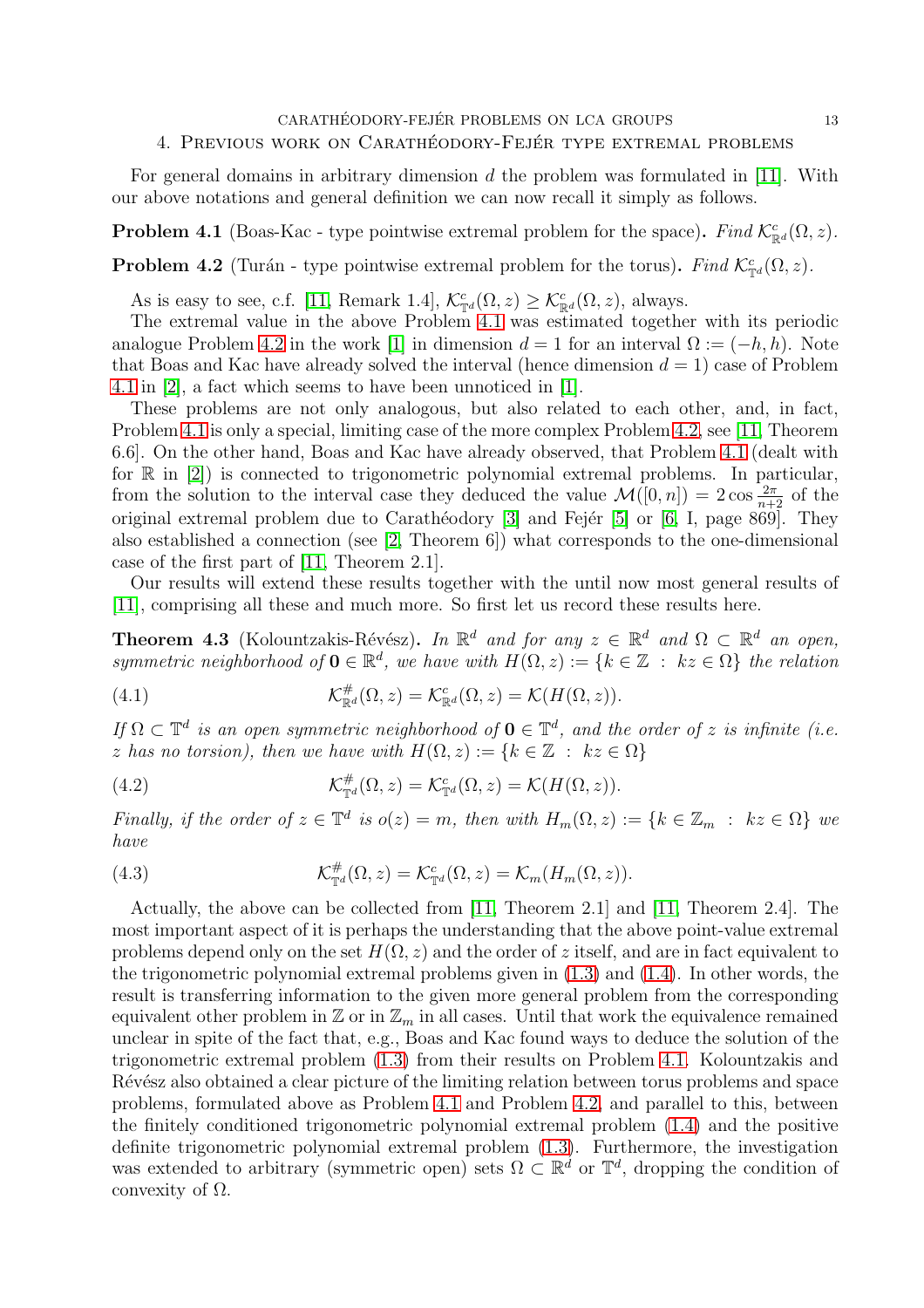$\begin{array}{lll} \text{CARATHÉODORY-FEJÉR PROBLEMS ON LCA GROUPS} \end{array} \tag{13}$ 

## 4. PREVIOUS WORK ON CARATHÉODORY-FEJÉR TYPE EXTREMAL PROBLEMS

For general domains in arbitrary dimension  $d$  the problem was formulated in [\[11\]](#page-16-1). With our above notations and general definition we can now recall it simply as follows.

<span id="page-12-0"></span>**Problem 4.1** (Boas-Kac - type pointwise extremal problem for the space). *Find*  $\mathcal{K}_{\mathbb{R}^d}^c(\Omega, z)$ *.* 

<span id="page-12-1"></span>**Problem 4.2** (Turán - type pointwise extremal problem for the torus). *Find*  $\mathcal{K}_{\mathbb{T}^d}^c(\Omega, z)$ *.* 

As is easy to see, c.f. [\[11,](#page-16-1) Remark 1.4],  $\mathcal{K}_{\mathbb{T}^d}^c(\Omega, z) \geq \mathcal{K}_{\mathbb{R}^d}^c(\Omega, z)$ , always.

The extremal value in the above Problem [4.1](#page-12-0) was estimated together with its periodic analogue Problem [4.2](#page-12-1) in the work [\[1\]](#page-16-13) in dimension  $d = 1$  for an interval  $\Omega := (-h, h)$ . Note that Boas and Kac have already solved the interval (hence dimension  $d = 1$ ) case of Problem [4.1](#page-12-0) in [\[2\]](#page-16-2), a fact which seems to have been unnoticed in [\[1\]](#page-16-13).

These problems are not only analogous, but also related to each other, and, in fact, Problem [4.1](#page-12-0) is only a special, limiting case of the more complex Problem [4.2,](#page-12-1) see [\[11,](#page-16-1) Theorem 6.6]. On the other hand, Boas and Kac have already observed, that Problem [4.1](#page-12-0) (dealt with for  $\mathbb R$  in [\[2\]](#page-16-2)) is connected to trigonometric polynomial extremal problems. In particular, from the solution to the interval case they deduced the value  $\mathcal{M}([0,n]) = 2 \cos \frac{2\pi}{n+2}$  of the original extremal problem due to Carathéodory  $[3]$  and Fejér  $[5]$  or  $[6, I$ , page 869]. They also established a connection (see [\[2,](#page-16-2) Theorem 6]) what corresponds to the one-dimensional case of the first part of [\[11,](#page-16-1) Theorem 2.1].

Our results will extend these results together with the until now most general results of [\[11\]](#page-16-1), comprising all these and much more. So first let us record these results here.

**Theorem 4.3** (Kolountzakis-Révész). *In*  $\mathbb{R}^d$  *and for any*  $z \in \mathbb{R}^d$  *and*  $\Omega \subset \mathbb{R}^d$  *an open, symmetric neighborhood of*  $\mathbf{0} \in \mathbb{R}^d$ , we have with  $H(\Omega, z) := \{k \in \mathbb{Z} : kz \in \Omega\}$  the relation

(4.1) 
$$
\mathcal{K}_{\mathbb{R}^d}^{\#}(\Omega, z) = \mathcal{K}_{\mathbb{R}^d}^c(\Omega, z) = \mathcal{K}(H(\Omega, z)).
$$

*If*  $\Omega$  ⊂  $\mathbb{T}^d$  *is an open symmetric neighborhood of*  $\mathbf{0} \in \mathbb{T}^d$ *, and the order of* z *is infinite (i.e.* z has no torsion), then we have with  $H(\Omega, z) := \{k \in \mathbb{Z} : kz \in \Omega\}$ 

(4.2) 
$$
\mathcal{K}_{\mathbb{T}^d}^{\#}(\Omega, z) = \mathcal{K}_{\mathbb{T}^d}^c(\Omega, z) = \mathcal{K}(H(\Omega, z)).
$$

*Finally, if the order of*  $z \in \mathbb{T}^d$  *is*  $o(z) = m$ *, then with*  $H_m(\Omega, z) := \{k \in \mathbb{Z}_m : kz \in \Omega\}$  *we have*

(4.3) 
$$
\mathcal{K}_{\mathbb{T}^d}^{\#}(\Omega, z) = \mathcal{K}_{\mathbb{T}^d}^c(\Omega, z) = \mathcal{K}_m(H_m(\Omega, z)).
$$

Actually, the above can be collected from [\[11,](#page-16-1) Theorem 2.1] and [\[11,](#page-16-1) Theorem 2.4]. The most important aspect of it is perhaps the understanding that the above point-value extremal problems depend only on the set  $H(\Omega, z)$  and the order of z itself, and are in fact equivalent to the trigonometric polynomial extremal problems given in [\(1.3\)](#page-1-3) and [\(1.4\)](#page-1-4). In other words, the result is transferring information to the given more general problem from the corresponding equivalent other problem in  $\mathbb{Z}$  or in  $\mathbb{Z}_m$  in all cases. Until that work the equivalence remained unclear in spite of the fact that, e.g., Boas and Kac found ways to deduce the solution of the trigonometric extremal problem [\(1.3\)](#page-1-3) from their results on Problem [4.1.](#page-12-0) Kolountzakis and Révész also obtained a clear picture of the limiting relation between torus problems and space problems, formulated above as Problem [4.1](#page-12-0) and Problem [4.2,](#page-12-1) and parallel to this, between the finitely conditioned trigonometric polynomial extremal problem [\(1.4\)](#page-1-4) and the positive definite trigonometric polynomial extremal problem [\(1.3\)](#page-1-3). Furthermore, the investigation was extended to arbitrary (symmetric open) sets  $\Omega \subset \mathbb{R}^d$  or  $\mathbb{T}^d$ , dropping the condition of convexity of  $Ω$ .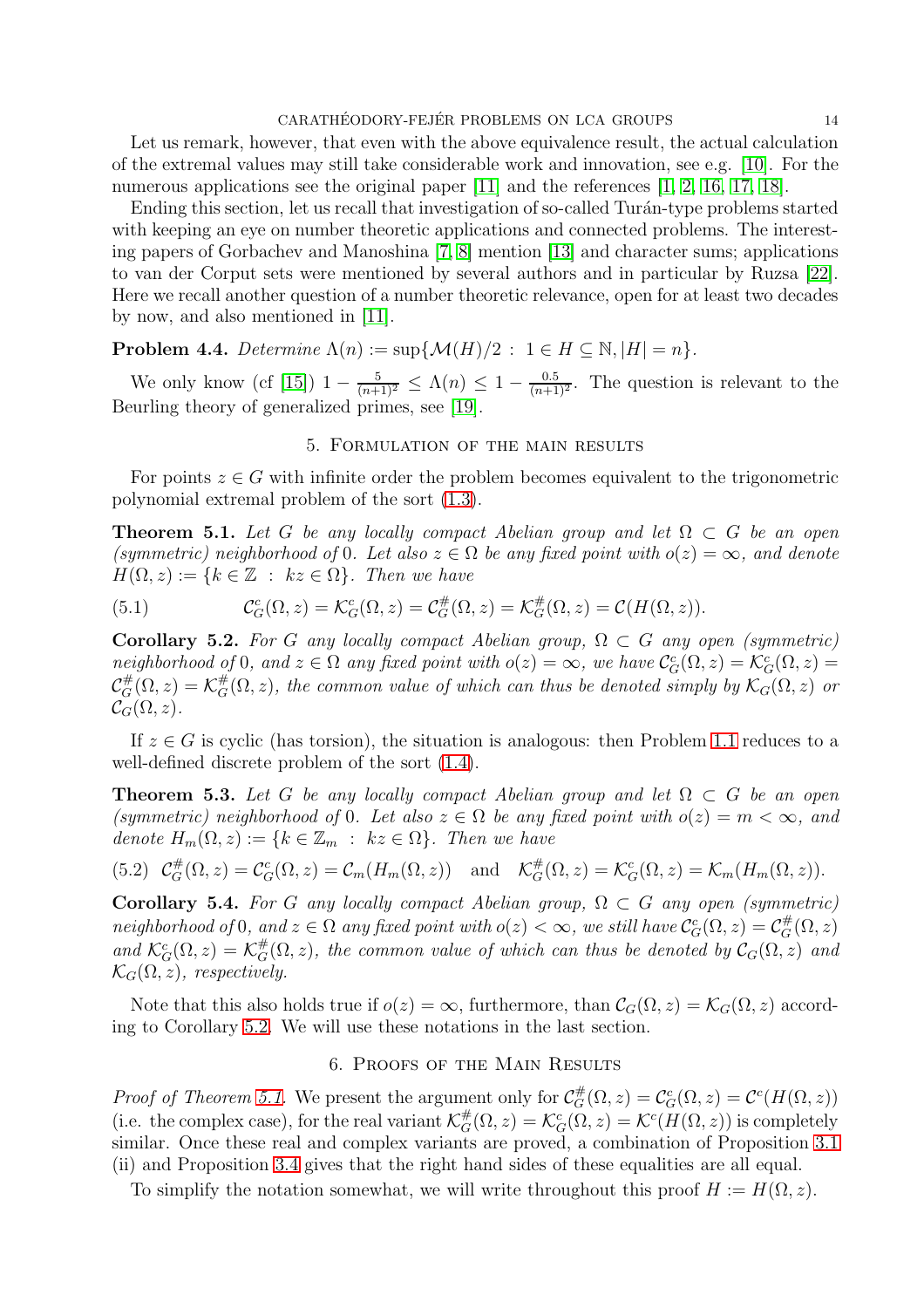Let us remark, however, that even with the above equivalence result, the actual calculation of the extremal values may still take considerable work and innovation, see e.g. [\[10\]](#page-16-14). For the numerous applications see the original paper [\[11\]](#page-16-1) and the references [\[1,](#page-16-13) [2,](#page-16-2) [16,](#page-16-15) [17,](#page-16-16) [18\]](#page-16-17).

Ending this section, let us recall that investigation of so-called Turán-type problems started with keeping an eye on number theoretic applications and connected problems. The interesting papers of Gorbachev and Manoshina [\[7,](#page-16-18) [8\]](#page-16-19) mention [\[13\]](#page-16-20) and character sums; applications to van der Corput sets were mentioned by several authors and in particular by Ruzsa [\[22\]](#page-16-21). Here we recall another question of a number theoretic relevance, open for at least two decades by now, and also mentioned in [\[11\]](#page-16-1).

**Problem 4.4.** *Determine*  $\Lambda(n) := \sup \{ \mathcal{M}(H)/2 : 1 \in H \subseteq \mathbb{N}, |H| = n \}.$ 

<span id="page-13-0"></span>We only know (cf [\[15\]](#page-16-22))  $1-\frac{5}{(n+1)^2} \leq \Lambda(n) \leq 1-\frac{0.5}{(n+1)^2}$ . The question is relevant to the Beurling theory of generalized primes, see [\[19\]](#page-16-23).

#### 5. Formulation of the main results

For points  $z \in G$  with infinite order the problem becomes equivalent to the trigonometric polynomial extremal problem of the sort [\(1.3\)](#page-1-3).

<span id="page-13-2"></span>**Theorem 5.1.** *Let* G *be any locally compact Abelian group and let*  $\Omega \subset G$  *be an open (symmetric) neighborhood of* 0*. Let also*  $z \in \Omega$  *be any fixed point with*  $o(z) = \infty$ *, and denote*  $H(\Omega, z) := \{k \in \mathbb{Z} : kz \in \Omega\}$ . Then we have

(5.1) 
$$
\mathcal{C}_G^c(\Omega, z) = \mathcal{K}_G^c(\Omega, z) = \mathcal{C}_G^{\#}(\Omega, z) = \mathcal{K}_G^{\#}(\Omega, z) = \mathcal{C}(H(\Omega, z)).
$$

<span id="page-13-1"></span>Corollary 5.2. *For* G any locally compact Abelian group,  $\Omega \subset G$  any open (symmetric) neighborhood of 0, and  $z \in \Omega$  any fixed point with  $o(z) = \infty$ , we have  $\mathcal{C}_G^c(\Omega, z) = \mathcal{K}_G^c(\Omega, z) = \bigcup_{\mu}$  $\mathcal{C}_G^{\#}(\Omega, z) = \mathcal{K}_G^{\#}(\Omega, z)$ , the common value of which can thus be denoted simply by  $\mathcal{K}_G(\Omega, z)$  or  $\mathcal{C}_G(\Omega,z)$ .

If  $z \in G$  is cyclic (has torsion), the situation is analogous: then Problem [1.1](#page-0-0) reduces to a well-defined discrete problem of the sort [\(1.4\)](#page-1-4).

<span id="page-13-3"></span>**Theorem 5.3.** Let G be any locally compact Abelian group and let  $\Omega \subset G$  be an open *(symmetric) neighborhood of* 0*. Let also*  $z \in \Omega$  *be any fixed point with*  $o(z) = m < \infty$ *, and denote*  $H_m(\Omega, z) := \{k \in \mathbb{Z}_m : kz \in \Omega\}$ . Then we have

<span id="page-13-4"></span>
$$
(5.2) \mathcal{C}_G^{\#}(\Omega, z) = \mathcal{C}_G^c(\Omega, z) = \mathcal{C}_m(H_m(\Omega, z)) \text{ and } \mathcal{K}_G^{\#}(\Omega, z) = \mathcal{K}_G^c(\Omega, z) = \mathcal{K}_m(H_m(\Omega, z)).
$$

Corollary 5.4. *For* G *any locally compact Abelian group,*  $\Omega \subset G$  *any open (symmetric)*  $neighborhood\ of\ 0,\ and\ z\in\Omega\ any\ fixed\ point\ with\ o(z)<\infty,\ we\ still\ have\ \mathcal{C}_G^c(\Omega,z)=\mathcal{C}_G^{\#}(\Omega,z)$ and  $\mathcal{K}_G^c(\Omega, z) = \mathcal{K}_G^{\#}(\Omega, z)$ , the common value of which can thus be denoted by  $\mathcal{C}_G(\Omega, z)$  and  $\mathcal{K}_G(\Omega, z)$ *, respectively.* 

Note that this also holds true if  $o(z) = \infty$ , furthermore, than  $\mathcal{C}_G(\Omega, z) = \mathcal{K}_G(\Omega, z)$  according to Corollary [5.2.](#page-13-1) We will use these notations in the last section.

## 6. Proofs of the Main Results

*Proof of Theorem [5.1.](#page-13-2)* We present the argument only for  $\mathcal{C}_G^{\#}(\Omega, z) = \mathcal{C}_G^c(\Omega, z) = \mathcal{C}^c(H(\Omega, z))$ (i.e. the complex case), for the real variant  $\mathcal{K}_G^{\#}(\Omega, z) = \mathcal{K}_G^c(\Omega, z) = \mathcal{K}^c(H(\Omega, z))$  is completely similar. Once these real and complex variants are proved, a combination of Proposition [3.1](#page-7-0) (ii) and Proposition [3.4](#page-11-0) gives that the right hand sides of these equalities are all equal.

To simplify the notation somewhat, we will write throughout this proof  $H := H(\Omega, z)$ .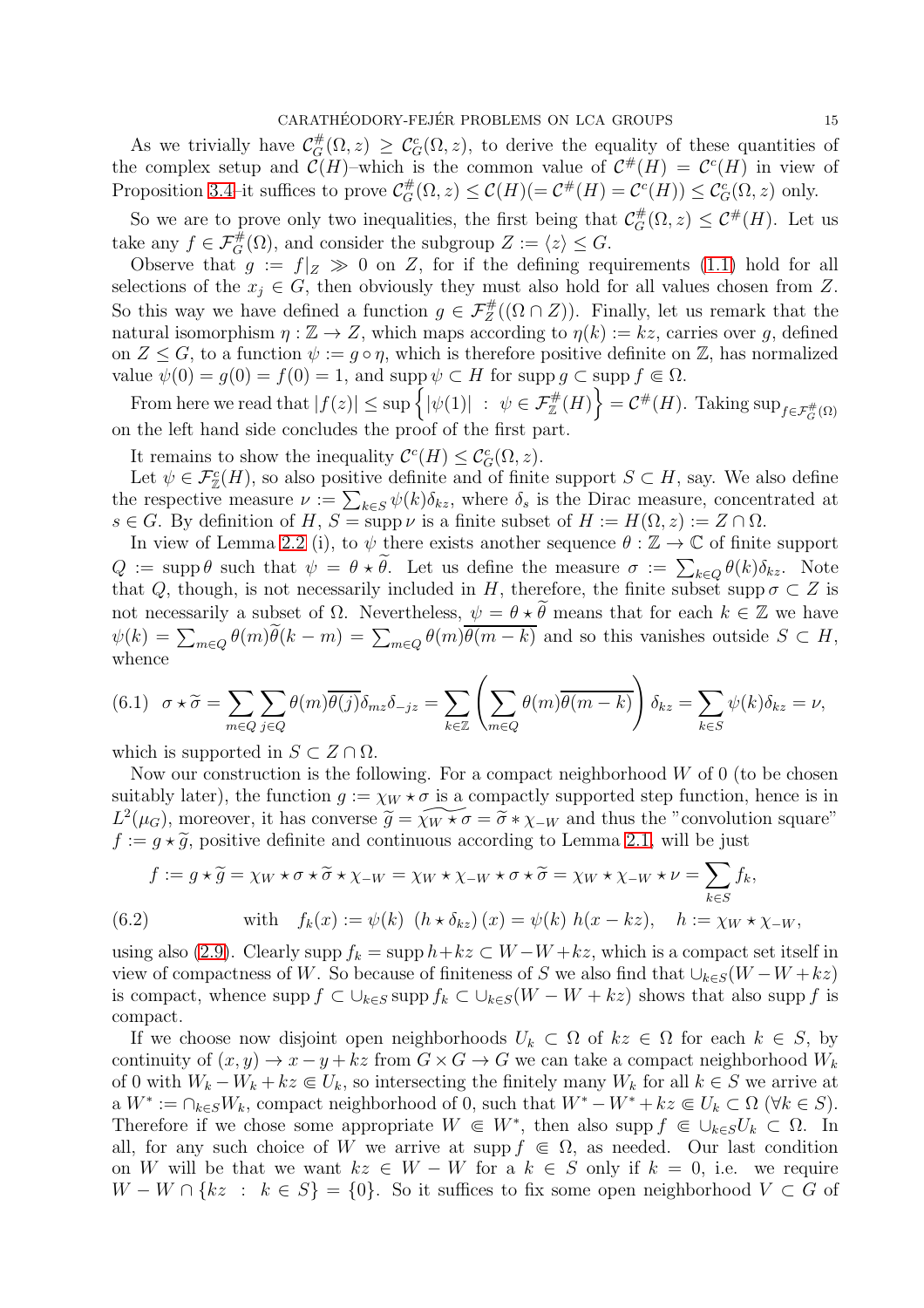As we trivially have  $\mathcal{C}_G^{\#}(\Omega, z) \geq \mathcal{C}_G^c(\Omega, z)$ , to derive the equality of these quantities of the complex setup and  $\mathcal{C}(H)$ -which is the common value of  $\mathcal{C}^{\#}(H) = \mathcal{C}^c(H)$  in view of Proposition 3.4-it suffices to prove  $\mathcal{C}_G^{\#}(\Omega, z) \le \mathcal{C}(H) (= \mathcal{C}^{\#}(H) = \mathcal{C}^c(H)) \le \mathcal{C}_G^c(\Omega, z)$  only.

So we are to prove only two inequalities, the first being that  $\mathcal{C}_G^{\#}(\Omega, z) \leq \mathcal{C}^{\#}(H)$ . Let us take any  $f \in \mathcal{F}_G^{\#}(\Omega)$ , and consider the subgroup  $Z := \langle z \rangle \leq G$ .

Observe that  $g := f|_Z \gg 0$  on Z, for if the defining requirements [\(1.1\)](#page-1-2) hold for all selections of the  $x_j \in G$ , then obviously they must also hold for all values chosen from Z. So this way we have defined a function  $g \in \mathcal{F}_Z^{\#}((\Omega \cap Z))$ . Finally, let us remark that the natural isomorphism  $\eta : \mathbb{Z} \to \mathbb{Z}$ , which maps according to  $\eta(k) := kz$ , carries over g, defined on  $Z \leq G$ , to a function  $\psi := g \circ \eta$ , which is therefore positive definite on Z, has normalized value  $\psi(0) = g(0) = f(0) = 1$ , and supp  $\psi \subset H$  for supp  $g \subset \text{supp } f \in \Omega$ .

From here we read that  $|f(z)| \leq \sup \{ |\psi(1)| : \psi \in \mathcal{F}_{\mathbb{Z}}^{\#}(H) \} = C^{\#}(H)$ . Taking  $\sup_{f \in \mathcal{F}_{G}^{\#}(\Omega)}$ on the left hand side concludes the proof of the first part.

It remains to show the inequality  $\mathcal{C}^c(H) \leq \mathcal{C}_G^c(\Omega, z)$ .

Let  $\psi \in \mathcal{F}_{\mathbb{Z}}(H)$ , so also positive definite and of finite support  $S \subset H$ , say. We also define the respective measure  $\nu := \sum_{k \in S} \psi(k) \delta_{kz}$ , where  $\delta_s$  is the Dirac measure, concentrated at  $s \in G$ . By definition of H,  $S = \text{supp }\nu$  is a finite subset of  $H := H(\Omega, z) := Z \cap \Omega$ .

In view of Lemma [2.2](#page-5-1) (i), to  $\psi$  there exists another sequence  $\theta : \mathbb{Z} \to \mathbb{C}$  of finite support  $Q := \text{supp }\theta$  such that  $\psi = \theta * \tilde{\theta}$ . Let us define the measure  $\sigma := \sum_{k \in Q} \theta(k) \delta_{kz}$ . Note that Q, though, is not necessarily included in H, therefore, the finite subset supp  $\sigma \subset Z$  is not necessarily a subset of  $\Omega$ . Nevertheless,  $\psi = \theta \star \tilde{\theta}$  means that for each  $k \in \mathbb{Z}$  we have  $\psi(k) = \sum_{m \in Q} \theta(m) \widetilde{\theta}(k - m) = \sum_{m \in Q} \theta(m) \overline{\theta(m - k)}$  and so this vanishes outside  $S \subset H$ , whence

$$
(6.1) \quad \sigma \star \widetilde{\sigma} = \sum_{m \in Q} \sum_{j \in Q} \theta(m) \overline{\theta(j)} \delta_{mz} \delta_{-jz} = \sum_{k \in \mathbb{Z}} \left( \sum_{m \in Q} \theta(m) \overline{\theta(m-k)} \right) \delta_{kz} = \sum_{k \in S} \psi(k) \delta_{kz} = \nu,
$$

which is supported in  $S \subset Z \cap \Omega$ .

Now our construction is the following. For a compact neighborhood  $W$  of 0 (to be chosen suitably later), the function  $g := \chi_W \star \sigma$  is a compactly supported step function, hence is in  $L^2(\mu_G)$ , moreover, it has converse  $\widetilde{g} = \widetilde{\chi_W \star \sigma} = \widetilde{\sigma} * \chi_{-W}$  and thus the "convolution square"  $f := g * \tilde{g}$ , positive definite and continuous according to Lemma [2.1,](#page-5-0) will be just

$$
f := g * \widetilde{g} = \chi_W * \sigma * \widetilde{\sigma} * \chi_{-W} = \chi_W * \chi_{-W} * \sigma * \widetilde{\sigma} = \chi_W * \chi_{-W} * \nu = \sum_{k \in S} f_k,
$$
  
(6.2) with  $f_k(x) := \psi(k) \ (h * \delta_{kz}) \ (x) = \psi(k) \ h(x - kz), \quad h := \chi_W * \chi_{-W},$ 

using also [\(2.9\)](#page-4-4). Clearly supp  $f_k = \sup h + kz \subset W - W + kz$ , which is a compact set itself in view of compactness of W. So because of finiteness of S we also find that  $\bigcup_{k\in S}(W-W+kz)$ is compact, whence supp  $f \subset \bigcup_{k \in S} \text{supp } f_k \subset \bigcup_{k \in S} (W - W + kz)$  shows that also supp f is compact.

If we choose now disjoint open neighborhoods  $U_k \subset \Omega$  of  $kz \in \Omega$  for each  $k \in S$ , by continuity of  $(x, y) \to x - y + kz$  from  $G \times G \to G$  we can take a compact neighborhood  $W_k$ of 0 with  $W_k - W_k + kz \in U_k$ , so intersecting the finitely many  $W_k$  for all  $k \in S$  we arrive at  $a W^* := \bigcap_{k \in S} W_k$ , compact neighborhood of 0, such that  $W^* - W^* + kz \subseteq U_k \subset \Omega$  ( $\forall k \in S$ ). Therefore if we chose some appropriate  $W \in W^*$ , then also supp  $f \in \bigcup_{k \in S} U_k \subset \Omega$ . In all, for any such choice of W we arrive at supp  $f \in \Omega$ , as needed. Our last condition on W will be that we want  $kz \in W - W$  for a  $k \in S$  only if  $k = 0$ , i.e. we require  $W - W \cap \{kz : k \in S\} = \{0\}.$  So it suffices to fix some open neighborhood  $V \subset G$  of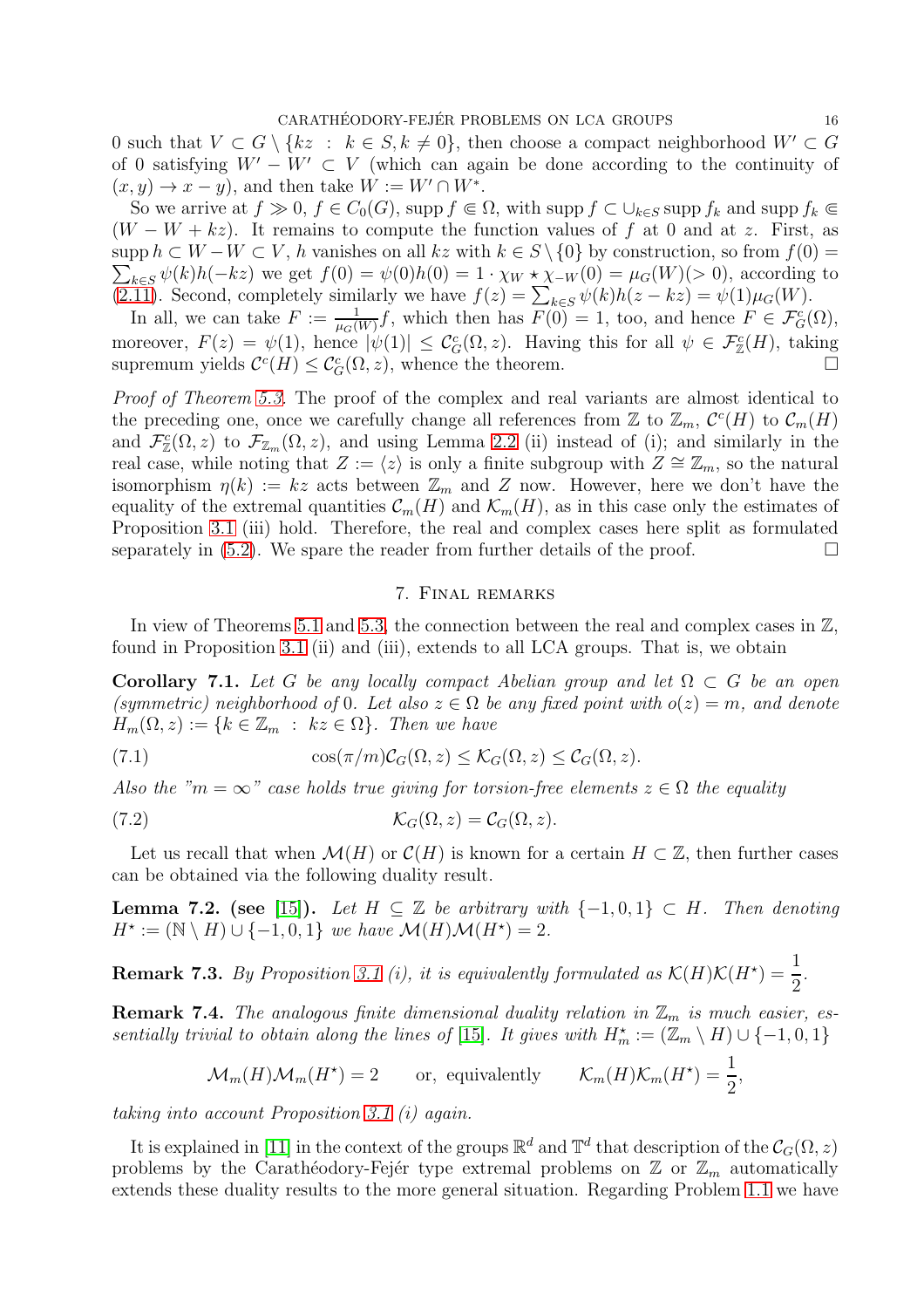0 such that  $V \subset G \setminus \{kz : k \in S, k \neq 0\}$ , then choose a compact neighborhood  $W' \subset G$ of 0 satisfying  $W' - W' \subset V$  (which can again be done according to the continuity of  $(x, y) \rightarrow x - y$ , and then take  $W := W' \cap W^*$ .

So we arrive at  $f \gg 0$ ,  $f \in C_0(G)$ , supp  $f \in \Omega$ , with supp  $f \subset \bigcup_{k \in S}$  supp  $f_k$  and supp  $f_k \in$  $(W - W + kz)$ . It remains to compute the function values of f at 0 and at z. First, as  $\text{supp } h \subset W - W \subset V$ , h vanishes on all  $kz$  with  $k \in S \setminus \{0\}$  by construction, so from  $f(0) =$  $\sum_{k\in S} \psi(k)h(-kz)$  we get  $f(0) = \psi(0)h(0) = 1 \cdot \chi_W * \chi_{-W}(0) = \mu_G(W)(> 0)$ , according to [\(2.11\)](#page-4-3). Second, completely similarly we have  $f(z) = \sum_{k \in S} \psi(k)h(z - kz) = \psi(1)\mu_G(W)$ .

In all, we can take  $F := \frac{1}{\mu_G(W)} f$ , which then has  $F(0) = 1$ , too, and hence  $F \in \mathcal{F}_G^c(\Omega)$ , moreover,  $F(z) = \psi(1)$ , hence  $|\psi(1)| \leq C_G^c(\Omega, z)$ . Having this for all  $\psi \in \mathcal{F}_{\mathbb{Z}}^c(H)$ , taking supremum yields  $C^{c}(H) \leq C_{G}^{c}(\Omega, z)$ , whence the theorem.

*Proof of Theorem [5.3.](#page-13-3)* The proof of the complex and real variants are almost identical to the preceding one, once we carefully change all references from  $\mathbb{Z}$  to  $\mathbb{Z}_m$ ,  $\mathcal{C}^c(H)$  to  $\mathcal{C}_m(H)$ and  $\mathcal{F}_{\mathbb{Z}}^c(\Omega, z)$  to  $\mathcal{F}_{\mathbb{Z}_m}(\Omega, z)$ , and using Lemma [2.2](#page-5-1) (ii) instead of (i); and similarly in the real case, while noting that  $Z := \langle z \rangle$  is only a finite subgroup with  $Z \cong \mathbb{Z}_m$ , so the natural isomorphism  $\eta(k) := kz$  acts between  $\mathbb{Z}_m$  and Z now. However, here we don't have the equality of the extremal quantities  $\mathcal{C}_m(H)$  and  $\mathcal{K}_m(H)$ , as in this case only the estimates of Proposition [3.1](#page-7-0) (iii) hold. Therefore, the real and complex cases here split as formulated separately in [\(5.2\)](#page-13-4). We spare the reader from further details of the proof.  $\Box$ 

#### 7. Final remarks

In view of Theorems [5.1](#page-13-2) and [5.3,](#page-13-3) the connection between the real and complex cases in  $\mathbb{Z}$ , found in Proposition [3.1](#page-7-0) (ii) and (iii), extends to all LCA groups. That is, we obtain

Corollary 7.1. Let G be any locally compact Abelian group and let  $\Omega \subset G$  be an open *(symmetric) neighborhood of* 0*. Let also*  $z \in \Omega$  *be any fixed point with*  $o(z) = m$ *, and denote*  $H_m(\Omega, z) := \{k \in \mathbb{Z}_m : kz \in \Omega\}$ . Then we have

(7.1) 
$$
\cos(\pi/m)\mathcal{C}_G(\Omega,z) \leq \mathcal{K}_G(\Omega,z) \leq \mathcal{C}_G(\Omega,z).
$$

*Also the "m* =  $\infty$ " *case holds true giving for torsion-free elements*  $z \in \Omega$  *the equality* 

(7.2) 
$$
\mathcal{K}_G(\Omega, z) = \mathcal{C}_G(\Omega, z).
$$

Let us recall that when  $\mathcal{M}(H)$  or  $\mathcal{C}(H)$  is known for a certain  $H \subset \mathbb{Z}$ , then further cases can be obtained via the following duality result.

**Lemma 7.2.** (see [\[15\]](#page-16-22)). Let  $H \subseteq \mathbb{Z}$  be arbitrary with  $\{-1,0,1\} \subset H$ . Then denoting  $H^* := (\mathbb{N} \setminus H) \cup \{-1, 0, 1\}$  *we have*  $\mathcal{M}(H) \mathcal{M}(H^*) = 2$ .

**Remark 7.3.** *By Proposition [3.1](#page-7-0) (i), it is equivalently formulated as*  $\mathcal{K}(H)\mathcal{K}(H^{\star}) = \frac{1}{2}$ 2 *.*

**Remark 7.4.** The analogous finite dimensional duality relation in  $\mathbb{Z}_m$  is much easier, es*sentially trivial to obtain along the lines of* [\[15\]](#page-16-22)*. It gives with*  $H_m^* := (\mathbb{Z}_m \setminus H) \cup \{-1, 0, 1\}$ 

$$
\mathcal{M}_m(H)\mathcal{M}_m(H^*) = 2 \qquad \text{or, equivalently} \qquad \mathcal{K}_m(H)\mathcal{K}_m(H^*) = \frac{1}{2},
$$

*taking into account Proposition [3.1](#page-7-0) (i) again.*

It is explained in [\[11\]](#page-16-1) in the context of the groups  $\mathbb{R}^d$  and  $\mathbb{T}^d$  that description of the  $\mathcal{C}_G(\Omega, z)$ problems by the Carathéodory-Fejér type extremal problems on  $\mathbb{Z}$  or  $\mathbb{Z}_m$  automatically extends these duality results to the more general situation. Regarding Problem [1.1](#page-0-0) we have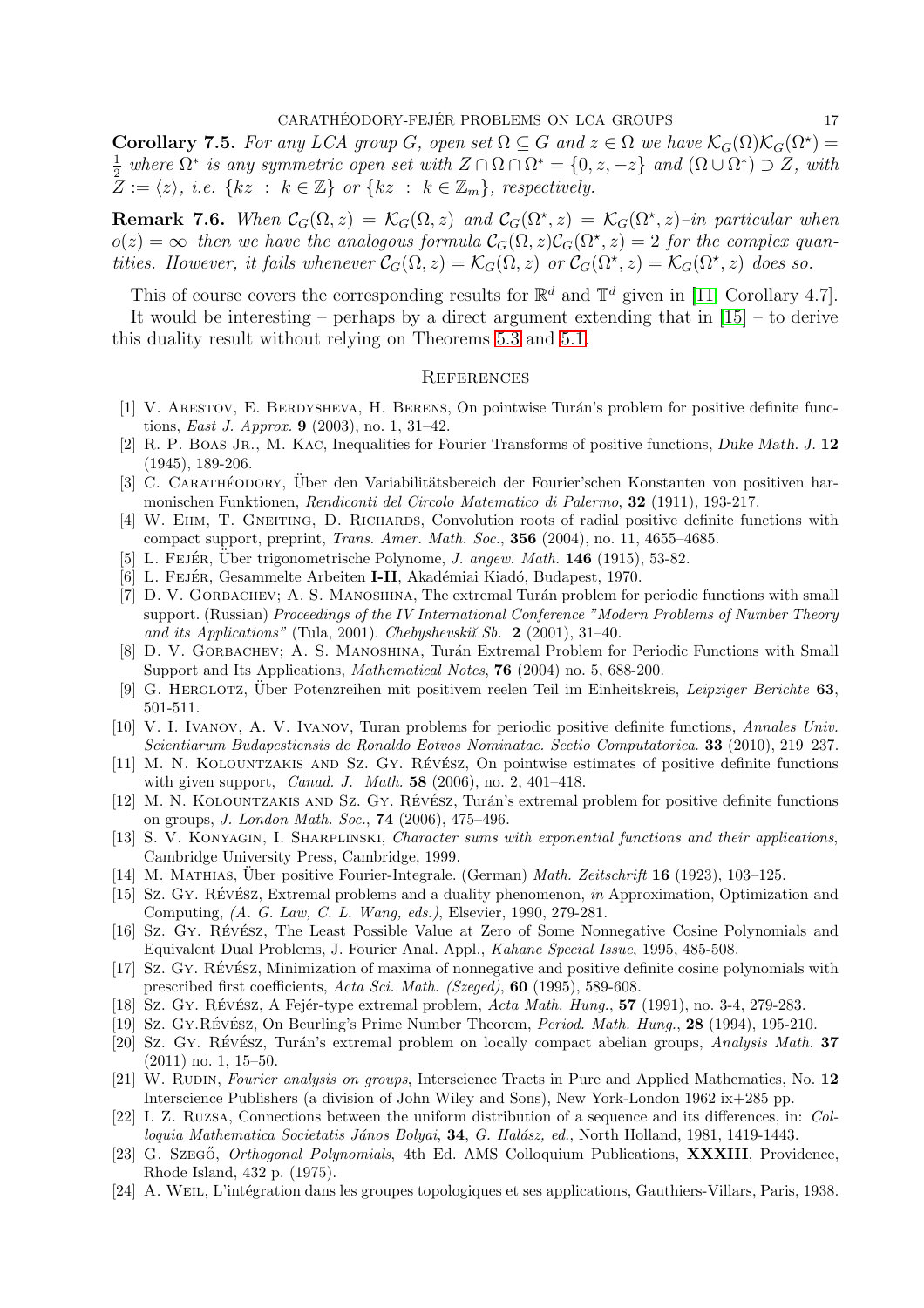**Corollary 7.5.** For any LCA group G, open set  $\Omega \subseteq G$  and  $z \in \Omega$  we have  $\mathcal{K}_G(\Omega)\mathcal{K}_G(\Omega^*) =$  $\frac{1}{2}$  where  $\Omega^*$  is any symmetric open set with  $Z \cap \Omega \cap \Omega^* = \{0, z, -z\}$  and  $(\Omega \cup \Omega^*) \supset Z$ , with  $Z := \langle z \rangle$ , *i.e.* { $kz : k \in \mathbb{Z}$ } or { $kz : k \in \mathbb{Z}_m$ }, respectively.

**Remark 7.6.** When  $C_G(\Omega, z) = \mathcal{K}_G(\Omega, z)$  and  $\mathcal{C}_G(\Omega^*, z) = \mathcal{K}_G(\Omega^*, z)$ -in particular when  $o(z) = \infty$ -then we have the analogous formula  $\mathcal{C}_G(\Omega, z) \mathcal{C}_G(\Omega^*, z) = 2$  for the complex quan*tities. However, it fails whenever*  $C_G(\Omega, z) = \mathcal{K}_G(\Omega, z)$  *or*  $C_G(\Omega^*, z) = \mathcal{K}_G(\Omega^*, z)$  *does so.* 

This of course covers the corresponding results for  $\mathbb{R}^d$  and  $\mathbb{T}^d$  given in [\[11,](#page-16-1) Corollary 4.7].

It would be interesting – perhaps by a direct argument extending that in  $[15]$  – to derive this duality result without relying on Theorems [5.3](#page-13-3) and [5.1.](#page-13-2)

#### **REFERENCES**

- <span id="page-16-13"></span>[1] V. ARESTOV, E. BERDYSHEVA, H. BERENS, On pointwise Turán's problem for positive definite functions, *East J. Approx.* **9** (2003), no. 1, 31–42.
- <span id="page-16-2"></span>[2] R. P. BOAS JR., M. KAC, Inequalities for Fourier Transforms of positive functions, Duke Math. J. 12 (1945), 189-206.
- <span id="page-16-3"></span>[3] C. CARATHÉODORY, Über den Variabilitätsbereich der Fourier'schen Konstanten von positiven harmonischen Funktionen, Rendiconti del Circolo Matematico di Palermo, 32 (1911), 193-217.
- <span id="page-16-10"></span>[4] W. EHM, T. GNEITING, D. RICHARDS, Convolution roots of radial positive definite functions with compact support, preprint, Trans. Amer. Math. Soc., 356 (2004), no. 11, 4655–4685.
- <span id="page-16-5"></span><span id="page-16-4"></span>[5] L. FEJÉR, Über trigonometrische Polynome, *J. angew. Math.* **146** (1915), 53-82.
- <span id="page-16-18"></span>[6] L. FEJÉR, Gesammelte Arbeiten I-II, Akadémiai Kiadó, Budapest, 1970.
- [7] D. V. GORBACHEV; A. S. MANOSHINA, The extremal Turán problem for periodic functions with small support. (Russian) Proceedings of the IV International Conference "Modern Problems of Number Theory and its Applications" (Tula, 2001). Chebyshevski $\check{\iota}$  Sb. 2 (2001), 31-40.
- <span id="page-16-19"></span>[8] D. V. GORBACHEV; A. S. MANOSHINA, Turán Extremal Problem for Periodic Functions with Small Support and Its Applications, *Mathematical Notes*, **76** (2004) no. 5, 688-200.
- <span id="page-16-14"></span><span id="page-16-8"></span>[9] G. HERGLOTZ, Über Potenzreihen mit positivem reelen Teil im Einheitskreis, Leipziger Berichte 63, 501-511.
- [10] V. I. Ivanov, A. V. Ivanov, Turan problems for periodic positive definite functions, Annales Univ. Scientiarum Budapestiensis de Ronaldo Eotvos Nominatae. Sectio Computatorica. 33 (2010), 219–237.
- <span id="page-16-1"></span>[11] M. N. KOLOUNTZAKIS AND SZ. GY. RÉVÉSZ, On pointwise estimates of positive definite functions with given support, *Canad. J. Math.*  $58$  (2006), no. 2, 401–418.
- <span id="page-16-12"></span>[12] M. N. KOLOUNTZAKIS AND SZ. GY. RÉVÉSZ, Turán's extremal problem for positive definite functions on groups, J. London Math. Soc., 74 (2006), 475–496.
- <span id="page-16-20"></span>[13] S. V. KONYAGIN, I. SHARPLINSKI, Character sums with exponential functions and their applications, Cambridge University Press, Cambridge, 1999.
- <span id="page-16-22"></span><span id="page-16-6"></span>[14] M. MATHIAS, Über positive Fourier-Integrale. (German) *Math. Zeitschrift* **16** (1923), 103–125.
- [15] Sz. Gy. Révész, Extremal problems and a duality phenomenon, in Approximation, Optimization and Computing, (A. G. Law, C. L. Wang, eds.), Elsevier, 1990, 279-281.
- <span id="page-16-15"></span>[16] Sz. Gy. Révész, The Least Possible Value at Zero of Some Nonnegative Cosine Polynomials and Equivalent Dual Problems, J. Fourier Anal. Appl., Kahane Special Issue, 1995, 485-508.
- <span id="page-16-16"></span>[17] Sz. Gy. Révész, Minimization of maxima of nonnegative and positive definite cosine polynomials with prescribed first coefficients, Acta Sci. Math. (Szeged), 60 (1995), 589-608.
- <span id="page-16-23"></span><span id="page-16-17"></span>[18] Sz. Gy. R $\acute{\text{e}}$ v $\acute{\text{e}}$ sz, A Fejér-type extremal problem, Acta Math. Hung., 57 (1991), no. 3-4, 279-283.
- <span id="page-16-0"></span>[19] Sz. Gy.Révész, On Beurling's Prime Number Theorem, *Period. Math. Hung.*, 28 (1994), 195-210.
- [20] Sz. Gy. Révész, Turán's extremal problem on locally compact abelian groups, Analysis Math. 37 (2011) no. 1, 15–50.
- <span id="page-16-7"></span>[21] W. RUDIN, Fourier analysis on groups, Interscience Tracts in Pure and Applied Mathematics, No. 12 Interscience Publishers (a division of John Wiley and Sons), New York-London 1962 ix+285 pp.
- <span id="page-16-21"></span>[22] I. Z. Ruzsa, Connections between the uniform distribution of a sequence and its differences, in: Colloquia Mathematica Societatis János Bolyai, 34, G. Halász, ed., North Holland, 1981, 1419-1443.
- <span id="page-16-11"></span>[23] G. Szegő, *Orthogonal Polynomials*, 4th Ed. AMS Colloquium Publications, **XXXIII**, Providence, Rhode Island, 432 p. (1975).
- <span id="page-16-9"></span>[24] A. WEIL, L'intégration dans les groupes topologiques et ses applications, Gauthiers-Villars, Paris, 1938.